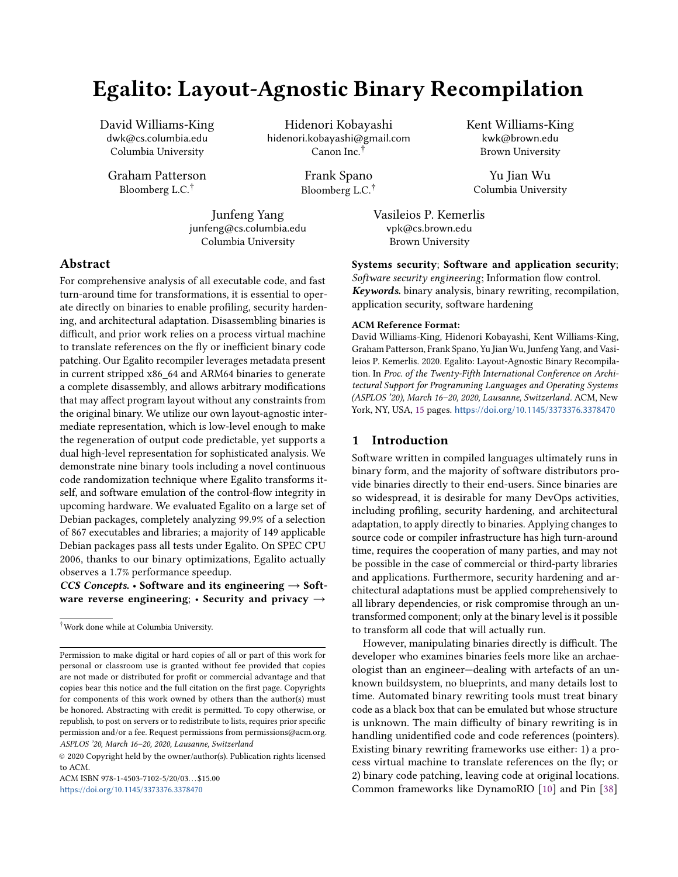# Egalito: Layout-Agnostic Binary Recompilation

David Williams-King dwk@cs.columbia.edu Columbia University

Graham Patterson Bloomberg L.C.†

Hidenori Kobayashi hidenori.kobayashi@gmail.com Canon Inc.†

> Frank Spano Bloomberg L.C.†

Junfeng Yang junfeng@cs.columbia.edu Columbia University

Vasileios P. Kemerlis vpk@cs.brown.edu Brown University

## Abstract

For comprehensive analysis of all executable code, and fast turn-around time for transformations, it is essential to operate directly on binaries to enable profiling, security hardening, and architectural adaptation. Disassembling binaries is difficult, and prior work relies on a process virtual machine to translate references on the fly or inefficient binary code patching. Our Egalito recompiler leverages metadata present in current stripped x86\_64 and ARM64 binaries to generate a complete disassembly, and allows arbitrary modifications that may affect program layout without any constraints from the original binary. We utilize our own layout-agnostic intermediate representation, which is low-level enough to make the regeneration of output code predictable, yet supports a dual high-level representation for sophisticated analysis. We demonstrate nine binary tools including a novel continuous code randomization technique where Egalito transforms itself, and software emulation of the control-flow integrity in upcoming hardware. We evaluated Egalito on a large set of Debian packages, completely analyzing 99.9% of a selection of 867 executables and libraries; a majority of 149 applicable Debian packages pass all tests under Egalito. On SPEC CPU 2006, thanks to our binary optimizations, Egalito actually observes a 1.7% performance speedup.

CCS Concepts. • Software and its engineering  $\rightarrow$  Software reverse engineering; • Security and privacy  $\rightarrow$ 

†Work done while at Columbia University.

© 2020 Copyright held by the owner/author(s). Publication rights licensed to ACM.

ACM ISBN 978-1-4503-7102-5/20/03. . . \$15.00 <https://doi.org/10.1145/3373376.3378470>

Systems security; Software and application security;

Kent Williams-King kwk@brown.edu Brown University

Yu Jian Wu Columbia University

Software security engineering; Information flow control. Keywords. binary analysis, binary rewriting, recompilation, application security, software hardening

#### ACM Reference Format:

David Williams-King, Hidenori Kobayashi, Kent Williams-King, Graham Patterson, Frank Spano, Yu Jian Wu, Junfeng Yang, and Vasileios P. Kemerlis. 2020. Egalito: Layout-Agnostic Binary Recompilation. In Proc. of the Twenty-Fifth International Conference on Architectural Support for Programming Languages and Operating Systems (ASPLOS '20), March 16–20, 2020, Lausanne, Switzerland. ACM, New York, NY, USA, [15](#page-14-0) pages. <https://doi.org/10.1145/3373376.3378470>

# 1 Introduction

Software written in compiled languages ultimately runs in binary form, and the majority of software distributors provide binaries directly to their end-users. Since binaries are so widespread, it is desirable for many DevOps activities, including profiling, security hardening, and architectural adaptation, to apply directly to binaries. Applying changes to source code or compiler infrastructure has high turn-around time, requires the cooperation of many parties, and may not be possible in the case of commercial or third-party libraries and applications. Furthermore, security hardening and architectural adaptations must be applied comprehensively to all library dependencies, or risk compromise through an untransformed component; only at the binary level is it possible to transform all code that will actually run.

However, manipulating binaries directly is difficult. The developer who examines binaries feels more like an archaeologist than an engineer—dealing with artefacts of an unknown buildsystem, no blueprints, and many details lost to time. Automated binary rewriting tools must treat binary code as a black box that can be emulated but whose structure is unknown. The main difficulty of binary rewriting is in handling unidentified code and code references (pointers). Existing binary rewriting frameworks use either: 1) a process virtual machine to translate references on the fly; or 2) binary code patching, leaving code at original locations. Common frameworks like DynamoRIO [\[10\]](#page-12-0) and Pin [\[38\]](#page-12-1)

Permission to make digital or hard copies of all or part of this work for personal or classroom use is granted without fee provided that copies are not made or distributed for profit or commercial advantage and that copies bear this notice and the full citation on the first page. Copyrights for components of this work owned by others than the author(s) must be honored. Abstracting with credit is permitted. To copy otherwise, or republish, to post on servers or to redistribute to lists, requires prior specific permission and/or a fee. Request permissions from permissions@acm.org. ASPLOS '20, March 16–20, 2020, Lausanne, Switzerland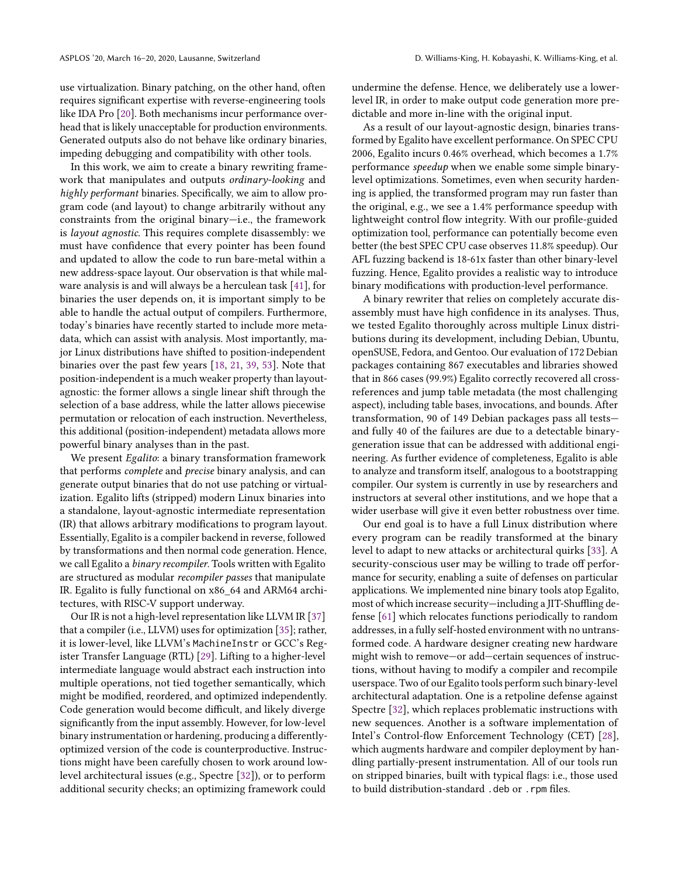use virtualization. Binary patching, on the other hand, often requires significant expertise with reverse-engineering tools like IDA Pro [\[20\]](#page-12-2). Both mechanisms incur performance overhead that is likely unacceptable for production environments. Generated outputs also do not behave like ordinary binaries, impeding debugging and compatibility with other tools.

In this work, we aim to create a binary rewriting framework that manipulates and outputs ordinary-looking and highly performant binaries. Specifically, we aim to allow program code (and layout) to change arbitrarily without any constraints from the original binary—i.e., the framework is layout agnostic. This requires complete disassembly: we must have confidence that every pointer has been found and updated to allow the code to run bare-metal within a new address-space layout. Our observation is that while malware analysis is and will always be a herculean task [\[41\]](#page-12-3), for binaries the user depends on, it is important simply to be able to handle the actual output of compilers. Furthermore, today's binaries have recently started to include more metadata, which can assist with analysis. Most importantly, major Linux distributions have shifted to position-independent binaries over the past few years [\[18,](#page-12-4) [21,](#page-12-5) [39,](#page-12-6) [53\]](#page-13-0). Note that position-independent is a much weaker property than layoutagnostic: the former allows a single linear shift through the selection of a base address, while the latter allows piecewise permutation or relocation of each instruction. Nevertheless, this additional (position-independent) metadata allows more powerful binary analyses than in the past.

We present Egalito: a binary transformation framework that performs complete and precise binary analysis, and can generate output binaries that do not use patching or virtualization. Egalito lifts (stripped) modern Linux binaries into a standalone, layout-agnostic intermediate representation (IR) that allows arbitrary modifications to program layout. Essentially, Egalito is a compiler backend in reverse, followed by transformations and then normal code generation. Hence, we call Egalito a binary recompiler. Tools written with Egalito are structured as modular recompiler passes that manipulate IR. Egalito is fully functional on x86\_64 and ARM64 architectures, with RISC-V support underway.

Our IR is not a high-level representation like LLVM IR [\[37\]](#page-12-7) that a compiler (i.e., LLVM) uses for optimization [\[35\]](#page-12-8); rather, it is lower-level, like LLVM's MachineInstr or GCC's Register Transfer Language (RTL) [\[29\]](#page-12-9). Lifting to a higher-level intermediate language would abstract each instruction into multiple operations, not tied together semantically, which might be modified, reordered, and optimized independently. Code generation would become difficult, and likely diverge significantly from the input assembly. However, for low-level binary instrumentation or hardening, producing a differentlyoptimized version of the code is counterproductive. Instructions might have been carefully chosen to work around lowlevel architectural issues (e.g., Spectre [\[32\]](#page-12-10)), or to perform additional security checks; an optimizing framework could

undermine the defense. Hence, we deliberately use a lowerlevel IR, in order to make output code generation more predictable and more in-line with the original input.

As a result of our layout-agnostic design, binaries transformed by Egalito have excellent performance. On SPEC CPU 2006, Egalito incurs 0.46% overhead, which becomes a 1.7% performance speedup when we enable some simple binarylevel optimizations. Sometimes, even when security hardening is applied, the transformed program may run faster than the original, e.g., we see a 1.4% performance speedup with lightweight control flow integrity. With our profile-guided optimization tool, performance can potentially become even better (the best SPEC CPU case observes 11.8% speedup). Our AFL fuzzing backend is 18-61x faster than other binary-level fuzzing. Hence, Egalito provides a realistic way to introduce binary modifications with production-level performance.

A binary rewriter that relies on completely accurate disassembly must have high confidence in its analyses. Thus, we tested Egalito thoroughly across multiple Linux distributions during its development, including Debian, Ubuntu, openSUSE, Fedora, and Gentoo. Our evaluation of 172 Debian packages containing 867 executables and libraries showed that in 866 cases (99.9%) Egalito correctly recovered all crossreferences and jump table metadata (the most challenging aspect), including table bases, invocations, and bounds. After transformation, 90 of 149 Debian packages pass all tests and fully 40 of the failures are due to a detectable binarygeneration issue that can be addressed with additional engineering. As further evidence of completeness, Egalito is able to analyze and transform itself, analogous to a bootstrapping compiler. Our system is currently in use by researchers and instructors at several other institutions, and we hope that a wider userbase will give it even better robustness over time.

Our end goal is to have a full Linux distribution where every program can be readily transformed at the binary level to adapt to new attacks or architectural quirks [\[33\]](#page-12-11). A security-conscious user may be willing to trade off performance for security, enabling a suite of defenses on particular applications. We implemented nine binary tools atop Egalito, most of which increase security—including a JIT-Shuffling defense [\[61\]](#page-13-1) which relocates functions periodically to random addresses, in a fully self-hosted environment with no untransformed code. A hardware designer creating new hardware might wish to remove—or add—certain sequences of instructions, without having to modify a compiler and recompile userspace. Two of our Egalito tools perform such binary-level architectural adaptation. One is a retpoline defense against Spectre [\[32\]](#page-12-10), which replaces problematic instructions with new sequences. Another is a software implementation of Intel's Control-flow Enforcement Technology (CET) [\[28\]](#page-12-12), which augments hardware and compiler deployment by handling partially-present instrumentation. All of our tools run on stripped binaries, built with typical flags: i.e., those used to build distribution-standard .deb or .rpm files.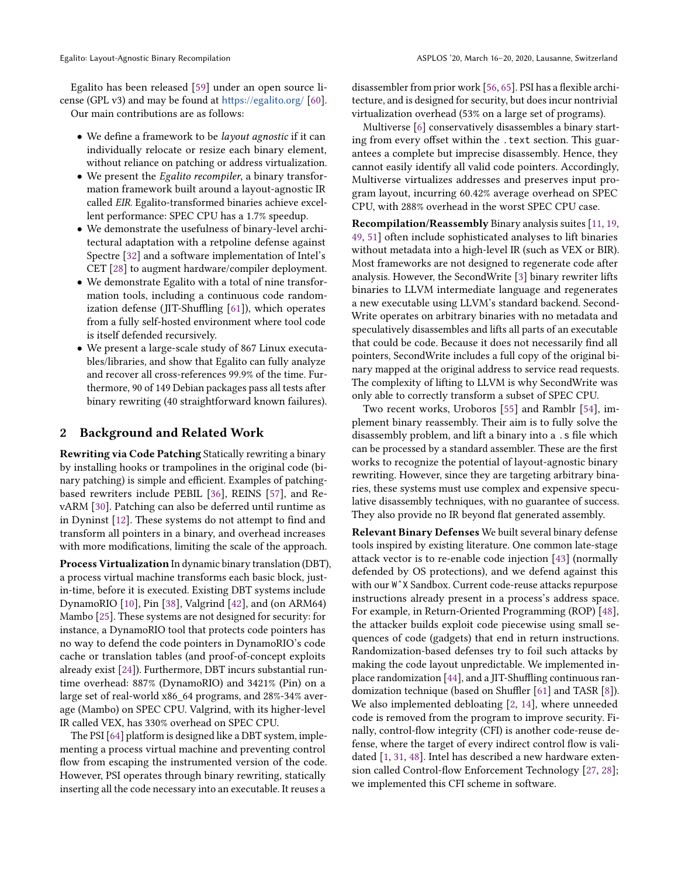Egalito has been released [\[59\]](#page-13-2) under an open source license (GPL v3) and may be found at <https://egalito.org/> [\[60\]](#page-13-3).

Our main contributions are as follows:

- We define a framework to be *layout agnostic* if it can individually relocate or resize each binary element, without reliance on patching or address virtualization.
- We present the Egalito recompiler, a binary transformation framework built around a layout-agnostic IR called EIR. Egalito-transformed binaries achieve excellent performance: SPEC CPU has a 1.7% speedup.
- We demonstrate the usefulness of binary-level architectural adaptation with a retpoline defense against Spectre [\[32\]](#page-12-10) and a software implementation of Intel's CET [\[28\]](#page-12-12) to augment hardware/compiler deployment.
- We demonstrate Egalito with a total of nine transformation tools, including a continuous code randomization defense (JIT-Shuffling [\[61\]](#page-13-1)), which operates from a fully self-hosted environment where tool code is itself defended recursively.
- We present a large-scale study of 867 Linux executables/libraries, and show that Egalito can fully analyze and recover all cross-references 99.9% of the time. Furthermore, 90 of 149 Debian packages pass all tests after binary rewriting (40 straightforward known failures).

# 2 Background and Related Work

Rewriting via Code Patching Statically rewriting a binary by installing hooks or trampolines in the original code (binary patching) is simple and efficient. Examples of patchingbased rewriters include PEBIL [\[36\]](#page-12-13), REINS [\[57\]](#page-13-4), and RevARM [\[30\]](#page-12-14). Patching can also be deferred until runtime as in Dyninst [\[12\]](#page-12-15). These systems do not attempt to find and transform all pointers in a binary, and overhead increases with more modifications, limiting the scale of the approach.

Process Virtualization In dynamic binary translation (DBT), a process virtual machine transforms each basic block, justin-time, before it is executed. Existing DBT systems include DynamoRIO [\[10\]](#page-12-0), Pin [\[38\]](#page-12-1), Valgrind [\[42\]](#page-12-16), and (on ARM64) Mambo [\[25\]](#page-12-17). These systems are not designed for security: for instance, a DynamoRIO tool that protects code pointers has no way to defend the code pointers in DynamoRIO's code cache or translation tables (and proof-of-concept exploits already exist [\[24\]](#page-12-18)). Furthermore, DBT incurs substantial runtime overhead: 887% (DynamoRIO) and 3421% (Pin) on a large set of real-world x86\_64 programs, and 28%-34% average (Mambo) on SPEC CPU. Valgrind, with its higher-level IR called VEX, has 330% overhead on SPEC CPU.

The PSI [\[64\]](#page-13-5) platform is designed like a DBT system, implementing a process virtual machine and preventing control flow from escaping the instrumented version of the code. However, PSI operates through binary rewriting, statically inserting all the code necessary into an executable. It reuses a

disassembler from prior work [\[56,](#page-13-6) [65\]](#page-13-7). PSI has a flexible architecture, and is designed for security, but does incur nontrivial virtualization overhead (53% on a large set of programs).

Multiverse [\[6\]](#page-12-19) conservatively disassembles a binary starting from every offset within the .text section. This guarantees a complete but imprecise disassembly. Hence, they cannot easily identify all valid code pointers. Accordingly, Multiverse virtualizes addresses and preserves input program layout, incurring 60.42% average overhead on SPEC CPU, with 288% overhead in the worst SPEC CPU case.

Recompilation/Reassembly Binary analysis suites [\[11,](#page-12-20) [19,](#page-12-21) [49,](#page-13-8) [51\]](#page-13-9) often include sophisticated analyses to lift binaries without metadata into a high-level IR (such as VEX or BIR). Most frameworks are not designed to regenerate code after analysis. However, the SecondWrite [\[3\]](#page-12-22) binary rewriter lifts binaries to LLVM intermediate language and regenerates a new executable using LLVM's standard backend. Second-Write operates on arbitrary binaries with no metadata and speculatively disassembles and lifts all parts of an executable that could be code. Because it does not necessarily find all pointers, SecondWrite includes a full copy of the original binary mapped at the original address to service read requests. The complexity of lifting to LLVM is why SecondWrite was only able to correctly transform a subset of SPEC CPU.

Two recent works, Uroboros [\[55\]](#page-13-10) and Ramblr [\[54\]](#page-13-11), implement binary reassembly. Their aim is to fully solve the disassembly problem, and lift a binary into a .s file which can be processed by a standard assembler. These are the first works to recognize the potential of layout-agnostic binary rewriting. However, since they are targeting arbitrary binaries, these systems must use complex and expensive speculative disassembly techniques, with no guarantee of success. They also provide no IR beyond flat generated assembly.

Relevant Binary Defenses We built several binary defense tools inspired by existing literature. One common late-stage attack vector is to re-enable code injection [\[43\]](#page-12-23) (normally defended by OS protections), and we defend against this with our W^X Sandbox. Current code-reuse attacks repurpose instructions already present in a process's address space. For example, in Return-Oriented Programming (ROP) [\[48\]](#page-13-12), the attacker builds exploit code piecewise using small sequences of code (gadgets) that end in return instructions. Randomization-based defenses try to foil such attacks by making the code layout unpredictable. We implemented inplace randomization [\[44\]](#page-12-24), and a JIT-Shuffling continuous randomization technique (based on Shuffler [\[61\]](#page-13-1) and TASR [\[8\]](#page-12-25)). We also implemented debloating [\[2,](#page-12-26) [14\]](#page-12-27), where unneeded code is removed from the program to improve security. Finally, control-flow integrity (CFI) is another code-reuse defense, where the target of every indirect control flow is validated [\[1,](#page-12-28) [31,](#page-12-29) [48\]](#page-13-12). Intel has described a new hardware extension called Control-flow Enforcement Technology [\[27,](#page-12-30) [28\]](#page-12-12); we implemented this CFI scheme in software.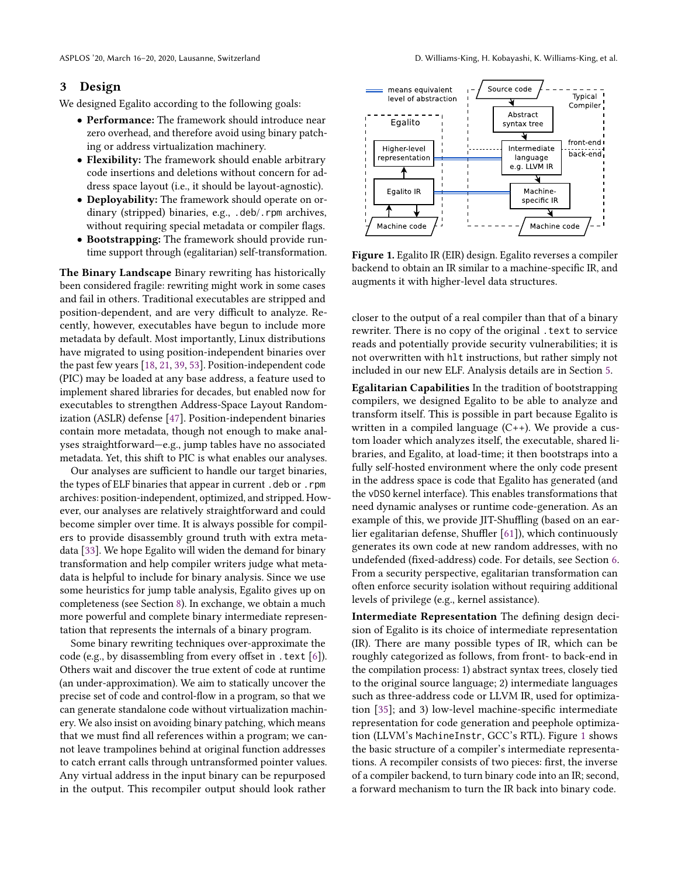## <span id="page-3-1"></span>3 Design

We designed Egalito according to the following goals:

- Performance: The framework should introduce near zero overhead, and therefore avoid using binary patching or address virtualization machinery.
- Flexibility: The framework should enable arbitrary code insertions and deletions without concern for address space layout (i.e., it should be layout-agnostic).
- Deployability: The framework should operate on ordinary (stripped) binaries, e.g., .deb/.rpm archives, without requiring special metadata or compiler flags.
- Bootstrapping: The framework should provide runtime support through (egalitarian) self-transformation.

The Binary Landscape Binary rewriting has historically been considered fragile: rewriting might work in some cases and fail in others. Traditional executables are stripped and position-dependent, and are very difficult to analyze. Recently, however, executables have begun to include more metadata by default. Most importantly, Linux distributions have migrated to using position-independent binaries over the past few years [\[18,](#page-12-4) [21,](#page-12-5) [39,](#page-12-6) [53\]](#page-13-0). Position-independent code (PIC) may be loaded at any base address, a feature used to implement shared libraries for decades, but enabled now for executables to strengthen Address-Space Layout Randomization (ASLR) defense [\[47\]](#page-13-13). Position-independent binaries contain more metadata, though not enough to make analyses straightforward—e.g., jump tables have no associated metadata. Yet, this shift to PIC is what enables our analyses.

Our analyses are sufficient to handle our target binaries, the types of ELF binaries that appear in current .deb or .rpm archives: position-independent, optimized, and stripped. However, our analyses are relatively straightforward and could become simpler over time. It is always possible for compilers to provide disassembly ground truth with extra metadata [\[33\]](#page-12-11). We hope Egalito will widen the demand for binary transformation and help compiler writers judge what metadata is helpful to include for binary analysis. Since we use some heuristics for jump table analysis, Egalito gives up on completeness (see Section [8\)](#page-11-0). In exchange, we obtain a much more powerful and complete binary intermediate representation that represents the internals of a binary program.

Some binary rewriting techniques over-approximate the code (e.g., by disassembling from every offset in .text [\[6\]](#page-12-19)). Others wait and discover the true extent of code at runtime (an under-approximation). We aim to statically uncover the precise set of code and control-flow in a program, so that we can generate standalone code without virtualization machinery. We also insist on avoiding binary patching, which means that we must find all references within a program; we cannot leave trampolines behind at original function addresses to catch errant calls through untransformed pointer values. Any virtual address in the input binary can be repurposed in the output. This recompiler output should look rather

<span id="page-3-0"></span>

Figure 1. Egalito IR (EIR) design. Egalito reverses a compiler backend to obtain an IR similar to a machine-specific IR, and

augments it with higher-level data structures.

Machine code

closer to the output of a real compiler than that of a binary rewriter. There is no copy of the original . text to service reads and potentially provide security vulnerabilities; it is not overwritten with hlt instructions, but rather simply not included in our new ELF. Analysis details are in Section [5.](#page-5-0)

Egalitarian Capabilities In the tradition of bootstrapping compilers, we designed Egalito to be able to analyze and transform itself. This is possible in part because Egalito is written in a compiled language (C++). We provide a custom loader which analyzes itself, the executable, shared libraries, and Egalito, at load-time; it then bootstraps into a fully self-hosted environment where the only code present in the address space is code that Egalito has generated (and the vDSO kernel interface). This enables transformations that need dynamic analyses or runtime code-generation. As an example of this, we provide JIT-Shuffling (based on an earlier egalitarian defense, Shuffler [\[61\]](#page-13-1)), which continuously generates its own code at new random addresses, with no undefended (fixed-address) code. For details, see Section [6.](#page-7-0) From a security perspective, egalitarian transformation can often enforce security isolation without requiring additional levels of privilege (e.g., kernel assistance).

Intermediate Representation The defining design decision of Egalito is its choice of intermediate representation (IR). There are many possible types of IR, which can be roughly categorized as follows, from front- to back-end in the compilation process: 1) abstract syntax trees, closely tied to the original source language; 2) intermediate languages such as three-address code or LLVM IR, used for optimization [\[35\]](#page-12-8); and 3) low-level machine-specific intermediate representation for code generation and peephole optimization (LLVM's MachineInstr, GCC's RTL). Figure [1](#page-3-0) shows the basic structure of a compiler's intermediate representations. A recompiler consists of two pieces: first, the inverse of a compiler backend, to turn binary code into an IR; second, a forward mechanism to turn the IR back into binary code.

Machine code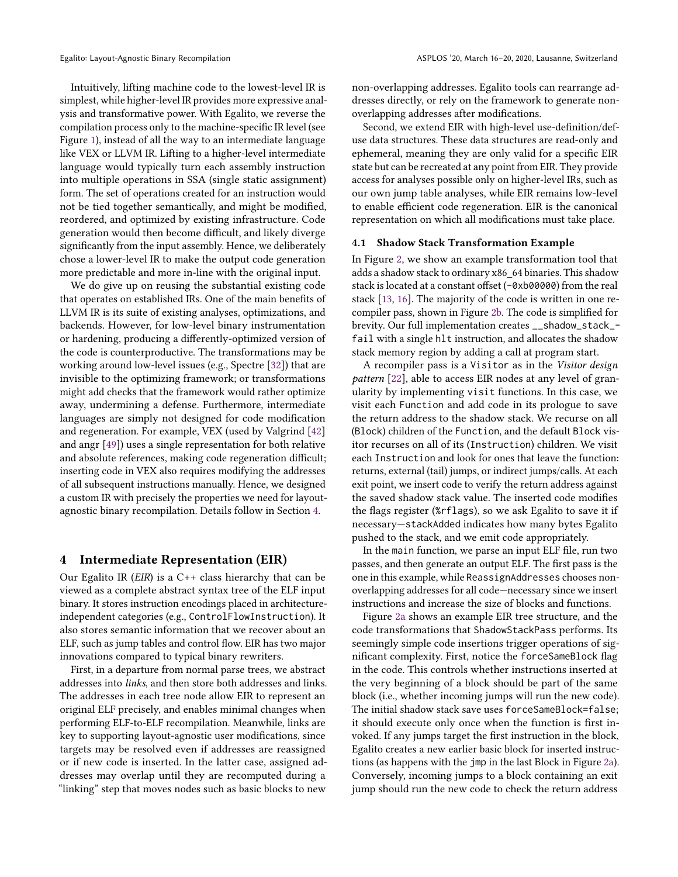Intuitively, lifting machine code to the lowest-level IR is simplest, while higher-level IR provides more expressive analysis and transformative power. With Egalito, we reverse the compilation process only to the machine-specific IR level (see Figure [1\)](#page-3-0), instead of all the way to an intermediate language like VEX or LLVM IR. Lifting to a higher-level intermediate language would typically turn each assembly instruction into multiple operations in SSA (single static assignment) form. The set of operations created for an instruction would not be tied together semantically, and might be modified, reordered, and optimized by existing infrastructure. Code generation would then become difficult, and likely diverge significantly from the input assembly. Hence, we deliberately chose a lower-level IR to make the output code generation more predictable and more in-line with the original input.

We do give up on reusing the substantial existing code that operates on established IRs. One of the main benefits of LLVM IR is its suite of existing analyses, optimizations, and backends. However, for low-level binary instrumentation or hardening, producing a differently-optimized version of the code is counterproductive. The transformations may be working around low-level issues (e.g., Spectre [\[32\]](#page-12-10)) that are invisible to the optimizing framework; or transformations might add checks that the framework would rather optimize away, undermining a defense. Furthermore, intermediate languages are simply not designed for code modification and regeneration. For example, VEX (used by Valgrind [\[42\]](#page-12-16) and angr [\[49\]](#page-13-8)) uses a single representation for both relative and absolute references, making code regeneration difficult; inserting code in VEX also requires modifying the addresses of all subsequent instructions manually. Hence, we designed a custom IR with precisely the properties we need for layoutagnostic binary recompilation. Details follow in Section [4.](#page-4-0)

## <span id="page-4-0"></span>4 Intermediate Representation (EIR)

Our Egalito IR ( $EIR$ ) is a C++ class hierarchy that can be viewed as a complete abstract syntax tree of the ELF input binary. It stores instruction encodings placed in architectureindependent categories (e.g., ControlFlowInstruction). It also stores semantic information that we recover about an ELF, such as jump tables and control flow. EIR has two major innovations compared to typical binary rewriters.

First, in a departure from normal parse trees, we abstract addresses into links, and then store both addresses and links. The addresses in each tree node allow EIR to represent an original ELF precisely, and enables minimal changes when performing ELF-to-ELF recompilation. Meanwhile, links are key to supporting layout-agnostic user modifications, since targets may be resolved even if addresses are reassigned or if new code is inserted. In the latter case, assigned addresses may overlap until they are recomputed during a "linking" step that moves nodes such as basic blocks to new

non-overlapping addresses. Egalito tools can rearrange addresses directly, or rely on the framework to generate nonoverlapping addresses after modifications.

Second, we extend EIR with high-level use-definition/defuse data structures. These data structures are read-only and ephemeral, meaning they are only valid for a specific EIR state but can be recreated at any point from EIR. They provide access for analyses possible only on higher-level IRs, such as our own jump table analyses, while EIR remains low-level to enable efficient code regeneration. EIR is the canonical representation on which all modifications must take place.

## <span id="page-4-1"></span>4.1 Shadow Stack Transformation Example

In Figure [2,](#page-5-1) we show an example transformation tool that adds a shadow stack to ordinary x86\_64 binaries. This shadow stack is located at a constant offset (-0xb00000) from the real stack [\[13,](#page-12-31) [16\]](#page-12-32). The majority of the code is written in one recompiler pass, shown in Figure [2b.](#page-5-1) The code is simplified for brevity. Our full implementation creates \_\_shadow\_stack\_ fail with a single hlt instruction, and allocates the shadow stack memory region by adding a call at program start.

A recompiler pass is a Visitor as in the Visitor design pattern [\[22\]](#page-12-33), able to access EIR nodes at any level of granularity by implementing visit functions. In this case, we visit each Function and add code in its prologue to save the return address to the shadow stack. We recurse on all (Block) children of the Function, and the default Block visitor recurses on all of its (Instruction) children. We visit each Instruction and look for ones that leave the function: returns, external (tail) jumps, or indirect jumps/calls. At each exit point, we insert code to verify the return address against the saved shadow stack value. The inserted code modifies the flags register (%rflags), so we ask Egalito to save it if necessary—stackAdded indicates how many bytes Egalito pushed to the stack, and we emit code appropriately.

In the main function, we parse an input ELF file, run two passes, and then generate an output ELF. The first pass is the one in this example, while ReassignAddresses chooses nonoverlapping addresses for all code—necessary since we insert instructions and increase the size of blocks and functions.

Figure [2a](#page-5-1) shows an example EIR tree structure, and the code transformations that ShadowStackPass performs. Its seemingly simple code insertions trigger operations of significant complexity. First, notice the forceSameBlock flag in the code. This controls whether instructions inserted at the very beginning of a block should be part of the same block (i.e., whether incoming jumps will run the new code). The initial shadow stack save uses forceSameBlock=false; it should execute only once when the function is first invoked. If any jumps target the first instruction in the block, Egalito creates a new earlier basic block for inserted instructions (as happens with the jmp in the last Block in Figure [2a\)](#page-5-1). Conversely, incoming jumps to a block containing an exit jump should run the new code to check the return address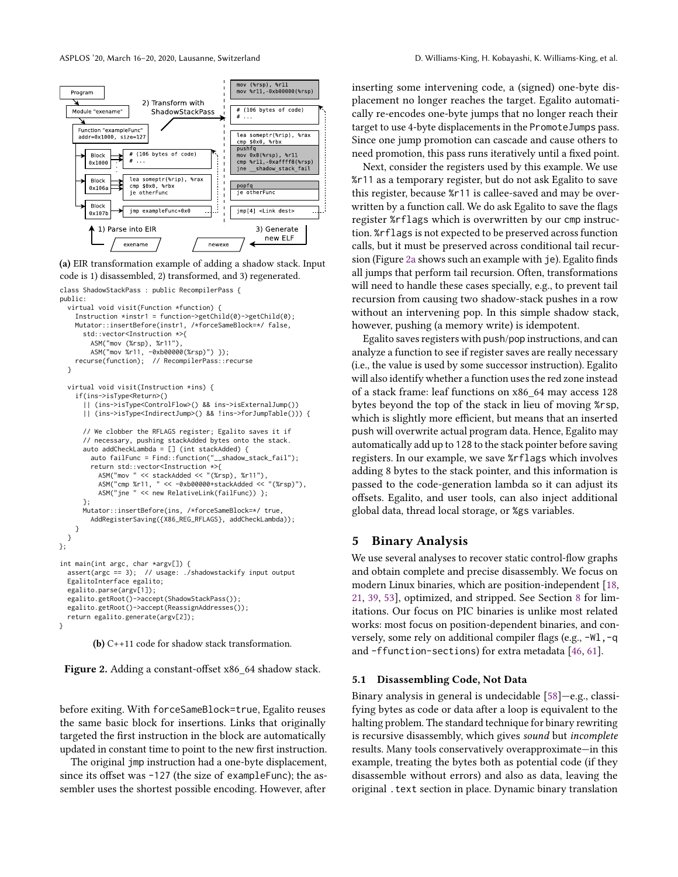<span id="page-5-1"></span>

(a) EIR transformation example of adding a shadow stack. Input code is 1) disassembled, 2) transformed, and 3) regenerated.

```
class ShadowStackPass : public RecompilerPass {
public:
  virtual void visit(Function *function) {
    Instruction *instr1 = function->getChild(0)->getChild(0);
    Mutator::insertBefore(instr1, /*forceSameBlock=*/ false,
      std::vector<Instruction *>{
        ASM("mov (%rsp), %r11"),
        ASM("mov %r11, -0xb00000(%rsp)") });
    recurse(function); // RecompilerPass::recurse
  }
  virtual void visit(Instruction *ins) {
    if(ins->isType<Return>()
      || (ins->isType<ControlFlow>() && ins->isExternalJump())
      || (ins->isType<IndirectJump>() && !ins->forJumpTable())) {
      // We clobber the RFLAGS register; Egalito saves it if
      // necessary, pushing stackAdded bytes onto the stack.
      auto addCheckLambda = [] (int stackAdded) {
        auto failFunc = Find::function("__shadow_stack_fail");
        return std::vector<Instruction *>{
          ASM("mov " << stackAdded << "(%rsp), %r11"),
ASM("cmp %r11, " << -0xb00000+stackAdded << "(%rsp)"),
          ASM("jne " << new RelativeLink(failFunc)) };
      };
      Mutator::insertBefore(ins, /*forceSameBlock=*/ true,
        AddRegisterSaving({X86_REG_RFLAGS}, addCheckLambda));
    }
 }
};
int main(int argc, char *argv[]) {
  assert(argc == 3); // usage: ./shadowstackify input output
  EgalitoInterface egalito;
  egalito.parse(argv[1]);
  egalito.getRoot()->accept(ShadowStackPass());
  egalito.getRoot()->accept(ReassignAddresses());
```
(b) C++11 code for shadow stack transformation.

return egalito.generate(argv[2]);

}

Figure 2. Adding a constant-offset x86\_64 shadow stack.

before exiting. With forceSameBlock=true, Egalito reuses the same basic block for insertions. Links that originally targeted the first instruction in the block are automatically updated in constant time to point to the new first instruction.

The original jmp instruction had a one-byte displacement, since its offset was -127 (the size of exampleFunc); the assembler uses the shortest possible encoding. However, after

inserting some intervening code, a (signed) one-byte displacement no longer reaches the target. Egalito automatically re-encodes one-byte jumps that no longer reach their target to use 4-byte displacements in the PromoteJumps pass. Since one jump promotion can cascade and cause others to need promotion, this pass runs iteratively until a fixed point.

Next, consider the registers used by this example. We use %r11 as a temporary register, but do not ask Egalito to save this register, because %r11 is callee-saved and may be overwritten by a function call. We do ask Egalito to save the flags register %rflags which is overwritten by our cmp instruction. %rflags is not expected to be preserved across function calls, but it must be preserved across conditional tail recursion (Figure [2a](#page-5-1) shows such an example with je). Egalito finds all jumps that perform tail recursion. Often, transformations will need to handle these cases specially, e.g., to prevent tail recursion from causing two shadow-stack pushes in a row without an intervening pop. In this simple shadow stack, however, pushing (a memory write) is idempotent.

Egalito saves registers with push/pop instructions, and can analyze a function to see if register saves are really necessary (i.e., the value is used by some successor instruction). Egalito will also identify whether a function uses the red zone instead of a stack frame: leaf functions on x86\_64 may access 128 bytes beyond the top of the stack in lieu of moving %rsp, which is slightly more efficient, but means that an inserted push will overwrite actual program data. Hence, Egalito may automatically add up to 128 to the stack pointer before saving registers. In our example, we save %rflags which involves adding 8 bytes to the stack pointer, and this information is passed to the code-generation lambda so it can adjust its offsets. Egalito, and user tools, can also inject additional global data, thread local storage, or %gs variables.

## <span id="page-5-0"></span>5 Binary Analysis

We use several analyses to recover static control-flow graphs and obtain complete and precise disassembly. We focus on modern Linux binaries, which are position-independent [\[18,](#page-12-4) [21,](#page-12-5) [39,](#page-12-6) [53\]](#page-13-0), optimized, and stripped. See Section [8](#page-11-0) for limitations. Our focus on PIC binaries is unlike most related works: most focus on position-dependent binaries, and conversely, some rely on additional compiler flags (e.g., -Wl, -q and -ffunction-sections) for extra metadata [\[46,](#page-12-34) [61\]](#page-13-1).

#### 5.1 Disassembling Code, Not Data

Binary analysis in general is undecidable [\[58\]](#page-13-14)—e.g., classifying bytes as code or data after a loop is equivalent to the halting problem. The standard technique for binary rewriting is recursive disassembly, which gives sound but incomplete results. Many tools conservatively overapproximate—in this example, treating the bytes both as potential code (if they disassemble without errors) and also as data, leaving the original .text section in place. Dynamic binary translation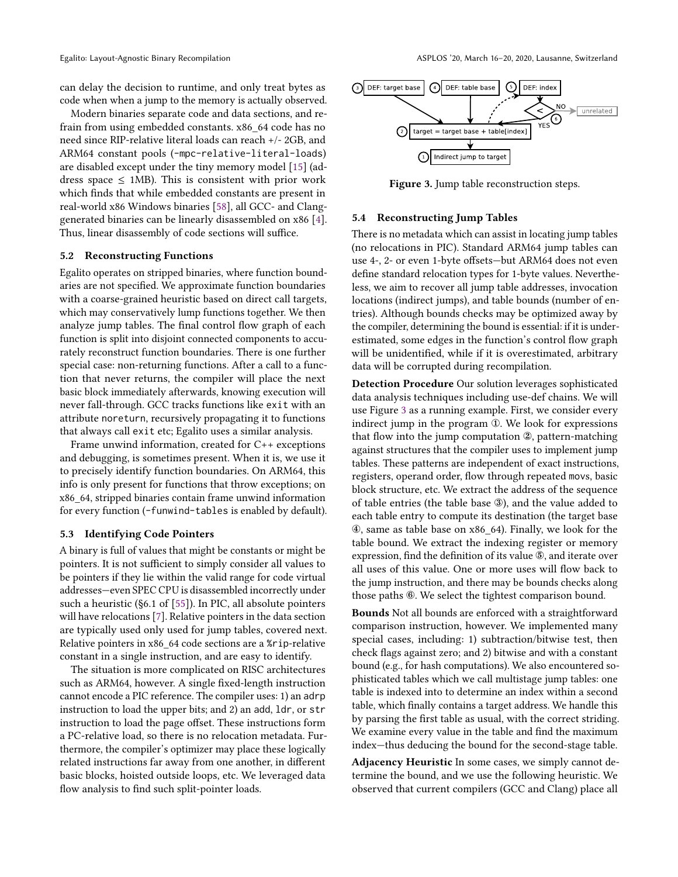can delay the decision to runtime, and only treat bytes as code when when a jump to the memory is actually observed.

Modern binaries separate code and data sections, and refrain from using embedded constants. x86\_64 code has no need since RIP-relative literal loads can reach +/- 2GB, and ARM64 constant pools (-mpc-relative-literal-loads) are disabled except under the tiny memory model [\[15\]](#page-12-35) (address space  $\leq$  1MB). This is consistent with prior work which finds that while embedded constants are present in real-world x86 Windows binaries [\[58\]](#page-13-14), all GCC- and Clanggenerated binaries can be linearly disassembled on x86 [\[4\]](#page-12-36). Thus, linear disassembly of code sections will suffice.

#### 5.2 Reconstructing Functions

Egalito operates on stripped binaries, where function boundaries are not specified. We approximate function boundaries with a coarse-grained heuristic based on direct call targets, which may conservatively lump functions together. We then analyze jump tables. The final control flow graph of each function is split into disjoint connected components to accurately reconstruct function boundaries. There is one further special case: non-returning functions. After a call to a function that never returns, the compiler will place the next basic block immediately afterwards, knowing execution will never fall-through. GCC tracks functions like exit with an attribute noreturn, recursively propagating it to functions that always call exit etc; Egalito uses a similar analysis.

Frame unwind information, created for C++ exceptions and debugging, is sometimes present. When it is, we use it to precisely identify function boundaries. On ARM64, this info is only present for functions that throw exceptions; on x86\_64, stripped binaries contain frame unwind information for every function (-funwind-tables is enabled by default).

#### 5.3 Identifying Code Pointers

A binary is full of values that might be constants or might be pointers. It is not sufficient to simply consider all values to be pointers if they lie within the valid range for code virtual addresses—even SPEC CPU is disassembled incorrectly under such a heuristic (§6.1 of [\[55\]](#page-13-10)). In PIC, all absolute pointers will have relocations [\[7\]](#page-12-37). Relative pointers in the data section are typically used only used for jump tables, covered next. Relative pointers in x86\_64 code sections are a %rip-relative constant in a single instruction, and are easy to identify.

The situation is more complicated on RISC architectures such as ARM64, however. A single fixed-length instruction cannot encode a PIC reference. The compiler uses: 1) an adrp instruction to load the upper bits; and 2) an add, ldr, or str instruction to load the page offset. These instructions form a PC-relative load, so there is no relocation metadata. Furthermore, the compiler's optimizer may place these logically related instructions far away from one another, in different basic blocks, hoisted outside loops, etc. We leveraged data flow analysis to find such split-pointer loads.

<span id="page-6-0"></span>

Figure 3. Jump table reconstruction steps.

## <span id="page-6-1"></span>5.4 Reconstructing Jump Tables

There is no metadata which can assist in locating jump tables (no relocations in PIC). Standard ARM64 jump tables can use 4-, 2- or even 1-byte offsets—but ARM64 does not even define standard relocation types for 1-byte values. Nevertheless, we aim to recover all jump table addresses, invocation locations (indirect jumps), and table bounds (number of entries). Although bounds checks may be optimized away by the compiler, determining the bound is essential: if it is underestimated, some edges in the function's control flow graph will be unidentified, while if it is overestimated, arbitrary data will be corrupted during recompilation.

Detection Procedure Our solution leverages sophisticated data analysis techniques including use-def chains. We will use Figure [3](#page-6-0) as a running example. First, we consider every indirect jump in the program ①. We look for expressions that flow into the jump computation ②, pattern-matching against structures that the compiler uses to implement jump tables. These patterns are independent of exact instructions, registers, operand order, flow through repeated movs, basic block structure, etc. We extract the address of the sequence of table entries (the table base ③), and the value added to each table entry to compute its destination (the target base ④, same as table base on x86\_64). Finally, we look for the table bound. We extract the indexing register or memory expression, find the definition of its value ⑤, and iterate over all uses of this value. One or more uses will flow back to the jump instruction, and there may be bounds checks along those paths ⑥. We select the tightest comparison bound.

Bounds Not all bounds are enforced with a straightforward comparison instruction, however. We implemented many special cases, including: 1) subtraction/bitwise test, then check flags against zero; and 2) bitwise and with a constant bound (e.g., for hash computations). We also encountered sophisticated tables which we call multistage jump tables: one table is indexed into to determine an index within a second table, which finally contains a target address. We handle this by parsing the first table as usual, with the correct striding. We examine every value in the table and find the maximum index—thus deducing the bound for the second-stage table.

Adjacency Heuristic In some cases, we simply cannot determine the bound, and we use the following heuristic. We observed that current compilers (GCC and Clang) place all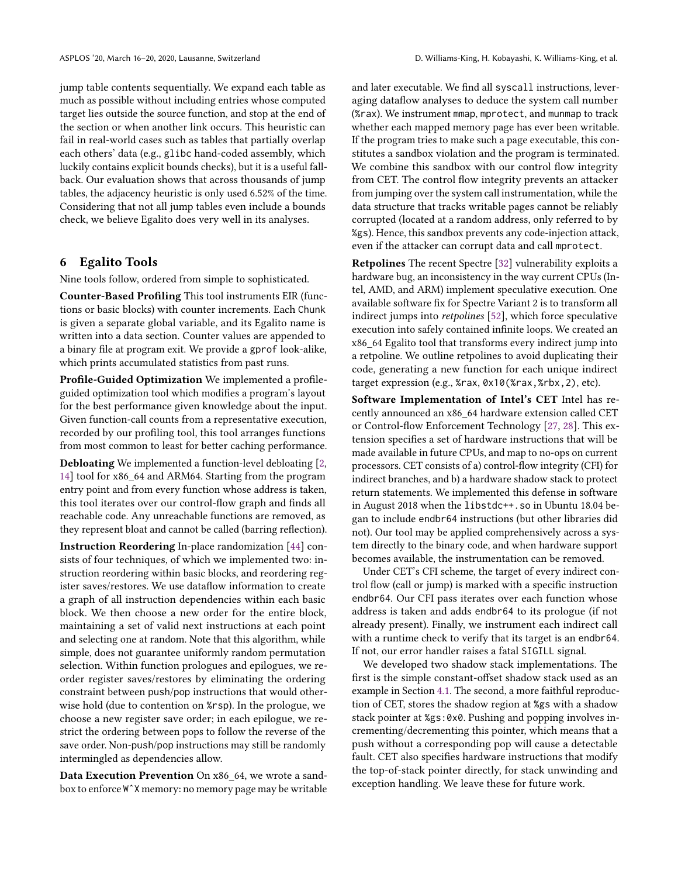jump table contents sequentially. We expand each table as much as possible without including entries whose computed target lies outside the source function, and stop at the end of the section or when another link occurs. This heuristic can fail in real-world cases such as tables that partially overlap each others' data (e.g., glibc hand-coded assembly, which luckily contains explicit bounds checks), but it is a useful fallback. Our evaluation shows that across thousands of jump tables, the adjacency heuristic is only used 6.52% of the time. Considering that not all jump tables even include a bounds check, we believe Egalito does very well in its analyses.

# <span id="page-7-0"></span>6 Egalito Tools

Nine tools follow, ordered from simple to sophisticated.

Counter-Based Profiling This tool instruments EIR (functions or basic blocks) with counter increments. Each Chunk is given a separate global variable, and its Egalito name is written into a data section. Counter values are appended to a binary file at program exit. We provide a gprof look-alike, which prints accumulated statistics from past runs.

Profile-Guided Optimization We implemented a profileguided optimization tool which modifies a program's layout for the best performance given knowledge about the input. Given function-call counts from a representative execution, recorded by our profiling tool, this tool arranges functions from most common to least for better caching performance.

Debloating We implemented a function-level debloating [\[2,](#page-12-26) [14\]](#page-12-27) tool for x86\_64 and ARM64. Starting from the program entry point and from every function whose address is taken, this tool iterates over our control-flow graph and finds all reachable code. Any unreachable functions are removed, as they represent bloat and cannot be called (barring reflection).

Instruction Reordering In-place randomization [\[44\]](#page-12-24) consists of four techniques, of which we implemented two: instruction reordering within basic blocks, and reordering register saves/restores. We use dataflow information to create a graph of all instruction dependencies within each basic block. We then choose a new order for the entire block, maintaining a set of valid next instructions at each point and selecting one at random. Note that this algorithm, while simple, does not guarantee uniformly random permutation selection. Within function prologues and epilogues, we reorder register saves/restores by eliminating the ordering constraint between push/pop instructions that would otherwise hold (due to contention on %rsp). In the prologue, we choose a new register save order; in each epilogue, we restrict the ordering between pops to follow the reverse of the save order. Non-push/pop instructions may still be randomly intermingled as dependencies allow.

Data Execution Prevention On x86\_64, we wrote a sandbox to enforce WˆX memory: no memory page may be writable

and later executable. We find all syscall instructions, leveraging dataflow analyses to deduce the system call number (%rax). We instrument mmap, mprotect, and munmap to track whether each mapped memory page has ever been writable. If the program tries to make such a page executable, this constitutes a sandbox violation and the program is terminated. We combine this sandbox with our control flow integrity from CET. The control flow integrity prevents an attacker from jumping over the system call instrumentation, while the data structure that tracks writable pages cannot be reliably corrupted (located at a random address, only referred to by %gs). Hence, this sandbox prevents any code-injection attack, even if the attacker can corrupt data and call mprotect.

Retpolines The recent Spectre [\[32\]](#page-12-10) vulnerability exploits a hardware bug, an inconsistency in the way current CPUs (Intel, AMD, and ARM) implement speculative execution. One available software fix for Spectre Variant 2 is to transform all indirect jumps into retpolines [\[52\]](#page-13-15), which force speculative execution into safely contained infinite loops. We created an x86\_64 Egalito tool that transforms every indirect jump into a retpoline. We outline retpolines to avoid duplicating their code, generating a new function for each unique indirect target expression (e.g., %rax, 0x10(%rax,%rbx,2), etc).

Software Implementation of Intel's CET Intel has recently announced an x86\_64 hardware extension called CET or Control-flow Enforcement Technology [\[27,](#page-12-30) [28\]](#page-12-12). This extension specifies a set of hardware instructions that will be made available in future CPUs, and map to no-ops on current processors. CET consists of a) control-flow integrity (CFI) for indirect branches, and b) a hardware shadow stack to protect return statements. We implemented this defense in software in August 2018 when the libstdc++.so in Ubuntu 18.04 began to include endbr64 instructions (but other libraries did not). Our tool may be applied comprehensively across a system directly to the binary code, and when hardware support becomes available, the instrumentation can be removed.

Under CET's CFI scheme, the target of every indirect control flow (call or jump) is marked with a specific instruction endbr64. Our CFI pass iterates over each function whose address is taken and adds endbr64 to its prologue (if not already present). Finally, we instrument each indirect call with a runtime check to verify that its target is an endbr64. If not, our error handler raises a fatal SIGILL signal.

We developed two shadow stack implementations. The first is the simple constant-offset shadow stack used as an example in Section [4.1.](#page-4-1) The second, a more faithful reproduction of CET, stores the shadow region at %gs with a shadow stack pointer at %gs:0x0. Pushing and popping involves incrementing/decrementing this pointer, which means that a push without a corresponding pop will cause a detectable fault. CET also specifies hardware instructions that modify the top-of-stack pointer directly, for stack unwinding and exception handling. We leave these for future work.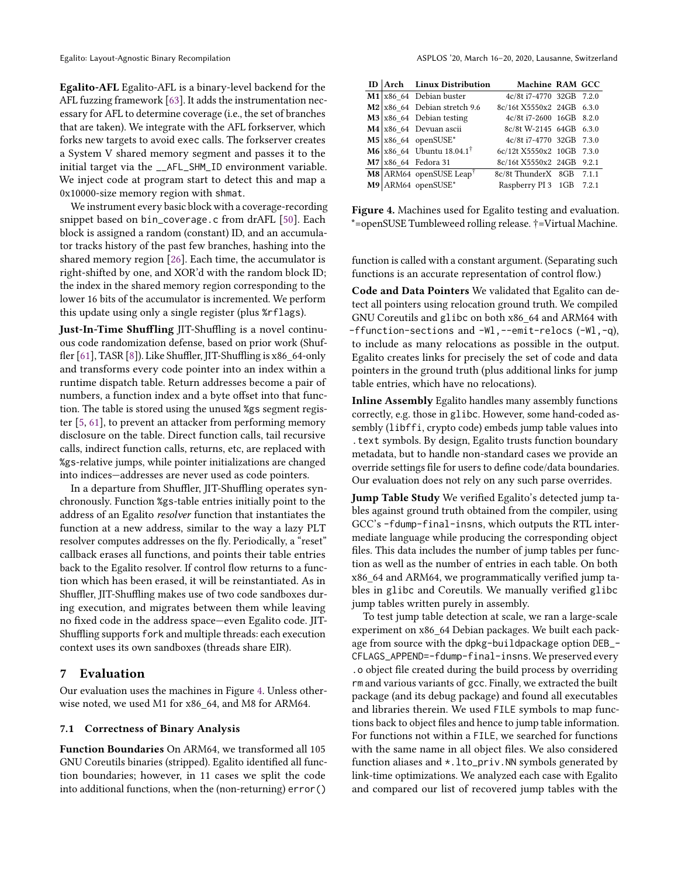Egalito-AFL Egalito-AFL is a binary-level backend for the AFL fuzzing framework [\[63\]](#page-13-16). It adds the instrumentation necessary for AFL to determine coverage (i.e., the set of branches that are taken). We integrate with the AFL forkserver, which forks new targets to avoid exec calls. The forkserver creates a System V shared memory segment and passes it to the initial target via the \_\_AFL\_SHM\_ID environment variable. We inject code at program start to detect this and map a 0x10000-size memory region with shmat.

We instrument every basic block with a coverage-recording snippet based on bin\_coverage.c from drAFL [\[50\]](#page-13-17). Each block is assigned a random (constant) ID, and an accumulator tracks history of the past few branches, hashing into the shared memory region [\[26\]](#page-12-38). Each time, the accumulator is right-shifted by one, and XOR'd with the random block ID; the index in the shared memory region corresponding to the lower 16 bits of the accumulator is incremented. We perform this update using only a single register (plus %rflags).

Just-In-Time Shuffling JIT-Shuffling is a novel continuous code randomization defense, based on prior work (Shuffler [\[61\]](#page-13-1), TASR [\[8\]](#page-12-25)). Like Shuffler, JIT-Shuffling is x86\_64-only and transforms every code pointer into an index within a runtime dispatch table. Return addresses become a pair of numbers, a function index and a byte offset into that function. The table is stored using the unused %gs segment register [\[5,](#page-12-39) [61\]](#page-13-1), to prevent an attacker from performing memory disclosure on the table. Direct function calls, tail recursive calls, indirect function calls, returns, etc, are replaced with %gs-relative jumps, while pointer initializations are changed into indices—addresses are never used as code pointers.

In a departure from Shuffler, JIT-Shuffling operates synchronously. Function %gs-table entries initially point to the address of an Egalito resolver function that instantiates the function at a new address, similar to the way a lazy PLT resolver computes addresses on the fly. Periodically, a "reset" callback erases all functions, and points their table entries back to the Egalito resolver. If control flow returns to a function which has been erased, it will be reinstantiated. As in Shuffler, JIT-Shuffling makes use of two code sandboxes during execution, and migrates between them while leaving no fixed code in the address space—even Egalito code. JIT-Shuffling supports fork and multiple threads: each execution context uses its own sandboxes (threads share EIR).

# 7 Evaluation

Our evaluation uses the machines in Figure [4.](#page-8-0) Unless otherwise noted, we used M1 for x86\_64, and M8 for ARM64.

## <span id="page-8-1"></span>7.1 Correctness of Binary Analysis

Function Boundaries On ARM64, we transformed all 105 GNU Coreutils binaries (stripped). Egalito identified all function boundaries; however, in 11 cases we split the code into additional functions, when the (non-returning) error()

<span id="page-8-0"></span>

|  | ID Arch Linux Distribution                   | Machine RAM GCC           |  |
|--|----------------------------------------------|---------------------------|--|
|  | $M1$ x86 64 Debian buster                    | 4c/8t i7-4770 32GB 7.2.0  |  |
|  | $M2$ x86 64 Debian stretch 9.6               | 8c/16t X5550x2 24GB 6.3.0 |  |
|  | $\textbf{M3}$ x86 64 Debian testing          | 4c/8t i7-2600 16GB 8.2.0  |  |
|  | M4 x86 64 Devuan ascii                       | 8c/8t W-2145 64GB 6.3.0   |  |
|  | $\text{M5}$ x86 64 openSUSE*                 | 4c/8t i7-4770 32GB 7.3.0  |  |
|  | <b>M6</b> x86 64 Ubuntu 18.04.1 <sup>†</sup> | 6c/12t X5550x2 10GB 7.3.0 |  |
|  | M7 x86 64 Fedora 31                          | 8c/16t X5550x2 24GB 9.2.1 |  |
|  | $\text{M8}$ ARM64 openSUSE Leap <sup>†</sup> | 8c/8t ThunderX 8GB 7.1.1  |  |
|  | $M9$ ARM64 openSUSE*                         | Raspberry PI 3 1GB 7.2.1  |  |

Figure 4. Machines used for Egalito testing and evaluation. \*=openSUSE Tumbleweed rolling release. †=Virtual Machine.

function is called with a constant argument. (Separating such functions is an accurate representation of control flow.)

Code and Data Pointers We validated that Egalito can detect all pointers using relocation ground truth. We compiled GNU Coreutils and glibc on both x86\_64 and ARM64 with -ffunction-sections and -Wl,--emit-relocs (-Wl,-q), to include as many relocations as possible in the output. Egalito creates links for precisely the set of code and data pointers in the ground truth (plus additional links for jump table entries, which have no relocations).

Inline Assembly Egalito handles many assembly functions correctly, e.g. those in glibc. However, some hand-coded assembly (libffi, crypto code) embeds jump table values into .text symbols. By design, Egalito trusts function boundary metadata, but to handle non-standard cases we provide an override settings file for users to define code/data boundaries. Our evaluation does not rely on any such parse overrides.

Jump Table Study We verified Egalito's detected jump tables against ground truth obtained from the compiler, using GCC's -fdump-final-insns, which outputs the RTL intermediate language while producing the corresponding object files. This data includes the number of jump tables per function as well as the number of entries in each table. On both x86\_64 and ARM64, we programmatically verified jump tables in glibc and Coreutils. We manually verified glibc jump tables written purely in assembly.

To test jump table detection at scale, we ran a large-scale experiment on x86\_64 Debian packages. We built each package from source with the dpkg-buildpackage option DEB\_- CFLAGS\_APPEND=-fdump-final-insns. We preserved every .o object file created during the build process by overriding rm and various variants of gcc. Finally, we extracted the built package (and its debug package) and found all executables and libraries therein. We used FILE symbols to map functions back to object files and hence to jump table information. For functions not within a FILE, we searched for functions with the same name in all object files. We also considered function aliases and \*.lto\_priv.NN symbols generated by link-time optimizations. We analyzed each case with Egalito and compared our list of recovered jump tables with the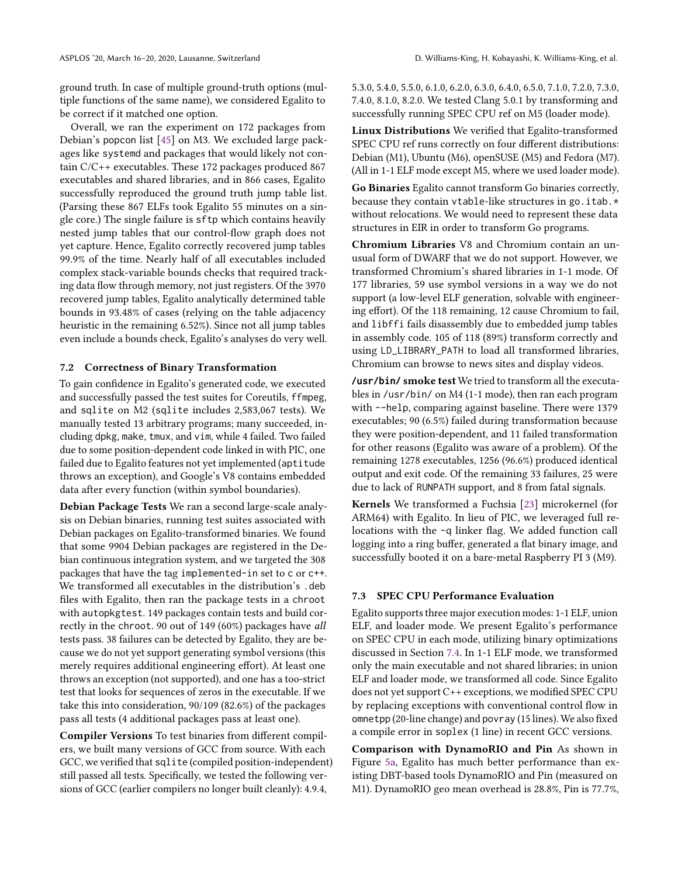ground truth. In case of multiple ground-truth options (multiple functions of the same name), we considered Egalito to be correct if it matched one option.

Overall, we ran the experiment on 172 packages from Debian's popcon list [\[45\]](#page-12-40) on M3. We excluded large packages like systemd and packages that would likely not contain C/C++ executables. These 172 packages produced 867 executables and shared libraries, and in 866 cases, Egalito successfully reproduced the ground truth jump table list. (Parsing these 867 ELFs took Egalito 55 minutes on a single core.) The single failure is sftp which contains heavily nested jump tables that our control-flow graph does not yet capture. Hence, Egalito correctly recovered jump tables 99.9% of the time. Nearly half of all executables included complex stack-variable bounds checks that required tracking data flow through memory, not just registers. Of the 3970 recovered jump tables, Egalito analytically determined table bounds in 93.48% of cases (relying on the table adjacency heuristic in the remaining 6.52%). Since not all jump tables even include a bounds check, Egalito's analyses do very well.

## <span id="page-9-0"></span>7.2 Correctness of Binary Transformation

To gain confidence in Egalito's generated code, we executed and successfully passed the test suites for Coreutils, ffmpeg, and sqlite on M2 (sqlite includes 2,583,067 tests). We manually tested 13 arbitrary programs; many succeeded, including dpkg, make, tmux, and vim, while 4 failed. Two failed due to some position-dependent code linked in with PIC, one failed due to Egalito features not yet implemented (aptitude throws an exception), and Google's V8 contains embedded data after every function (within symbol boundaries).

Debian Package Tests We ran a second large-scale analysis on Debian binaries, running test suites associated with Debian packages on Egalito-transformed binaries. We found that some 9904 Debian packages are registered in the Debian continuous integration system, and we targeted the 308 packages that have the tag implemented-in set to c or c++. We transformed all executables in the distribution's .deb files with Egalito, then ran the package tests in a chroot with autopkgtest. 149 packages contain tests and build correctly in the chroot. 90 out of 149 (60%) packages have all tests pass. 38 failures can be detected by Egalito, they are because we do not yet support generating symbol versions (this merely requires additional engineering effort). At least one throws an exception (not supported), and one has a too-strict test that looks for sequences of zeros in the executable. If we take this into consideration, 90/109 (82.6%) of the packages pass all tests (4 additional packages pass at least one).

Compiler Versions To test binaries from different compilers, we built many versions of GCC from source. With each GCC, we verified that sqlite (compiled position-independent) still passed all tests. Specifically, we tested the following versions of GCC (earlier compilers no longer built cleanly): 4.9.4,

5.3.0, 5.4.0, 5.5.0, 6.1.0, 6.2.0, 6.3.0, 6.4.0, 6.5.0, 7.1.0, 7.2.0, 7.3.0, 7.4.0, 8.1.0, 8.2.0. We tested Clang 5.0.1 by transforming and

successfully running SPEC CPU ref on M5 (loader mode). Linux Distributions We verified that Egalito-transformed SPEC CPU ref runs correctly on four different distributions: Debian (M1), Ubuntu (M6), openSUSE (M5) and Fedora (M7). (All in 1-1 ELF mode except M5, where we used loader mode).

Go Binaries Egalito cannot transform Go binaries correctly, because they contain vtable-like structures in go.itab.\* without relocations. We would need to represent these data structures in EIR in order to transform Go programs.

Chromium Libraries V8 and Chromium contain an unusual form of DWARF that we do not support. However, we transformed Chromium's shared libraries in 1-1 mode. Of 177 libraries, 59 use symbol versions in a way we do not support (a low-level ELF generation, solvable with engineering effort). Of the 118 remaining, 12 cause Chromium to fail, and libffi fails disassembly due to embedded jump tables in assembly code. 105 of 118 (89%) transform correctly and using LD\_LIBRARY\_PATH to load all transformed libraries, Chromium can browse to news sites and display videos.

**/usr/bin/** smoke test We tried to transform all the executables in /usr/bin/ on M4 (1-1 mode), then ran each program with --help, comparing against baseline. There were 1379 executables; 90 (6.5%) failed during transformation because they were position-dependent, and 11 failed transformation for other reasons (Egalito was aware of a problem). Of the remaining 1278 executables, 1256 (96.6%) produced identical output and exit code. Of the remaining 33 failures, 25 were due to lack of RUNPATH support, and 8 from fatal signals.

Kernels We transformed a Fuchsia [\[23\]](#page-12-41) microkernel (for ARM64) with Egalito. In lieu of PIC, we leveraged full relocations with the -q linker flag. We added function call logging into a ring buffer, generated a flat binary image, and successfully booted it on a bare-metal Raspberry PI 3 (M9).

## 7.3 SPEC CPU Performance Evaluation

Egalito supports three major execution modes: 1-1 ELF, union ELF, and loader mode. We present Egalito's performance on SPEC CPU in each mode, utilizing binary optimizations discussed in Section [7.4.](#page-10-0) In 1-1 ELF mode, we transformed only the main executable and not shared libraries; in union ELF and loader mode, we transformed all code. Since Egalito does not yet support C++ exceptions, we modified SPEC CPU by replacing exceptions with conventional control flow in omnetpp (20-line change) and povray (15 lines). We also fixed a compile error in soplex (1 line) in recent GCC versions.

Comparison with DynamoRIO and Pin As shown in Figure [5a,](#page-10-1) Egalito has much better performance than existing DBT-based tools DynamoRIO and Pin (measured on M1). DynamoRIO geo mean overhead is 28.8%, Pin is 77.7%,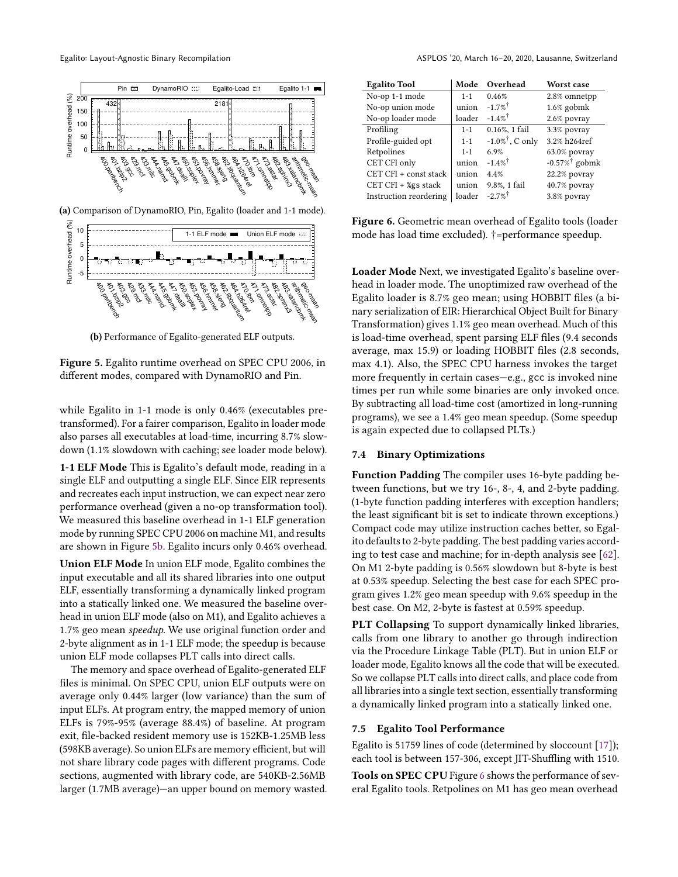<span id="page-10-1"></span>

(a) Comparison of DynamoRIO, Pin, Egalito (loader and 1-1 mode).



(b) Performance of Egalito-generated ELF outputs.

Figure 5. Egalito runtime overhead on SPEC CPU 2006, in different modes, compared with DynamoRIO and Pin.

while Egalito in 1-1 mode is only 0.46% (executables pretransformed). For a fairer comparison, Egalito in loader mode also parses all executables at load-time, incurring 8.7% slowdown (1.1% slowdown with caching; see loader mode below).

1-1 ELF Mode This is Egalito's default mode, reading in a single ELF and outputting a single ELF. Since EIR represents and recreates each input instruction, we can expect near zero performance overhead (given a no-op transformation tool). We measured this baseline overhead in 1-1 ELF generation mode by running SPEC CPU 2006 on machine M1, and results are shown in Figure [5b.](#page-10-1) Egalito incurs only 0.46% overhead.

Union ELF Mode In union ELF mode, Egalito combines the input executable and all its shared libraries into one output ELF, essentially transforming a dynamically linked program into a statically linked one. We measured the baseline overhead in union ELF mode (also on M1), and Egalito achieves a 1.7% geo mean speedup. We use original function order and 2-byte alignment as in 1-1 ELF mode; the speedup is because union ELF mode collapses PLT calls into direct calls.

The memory and space overhead of Egalito-generated ELF files is minimal. On SPEC CPU, union ELF outputs were on average only 0.44% larger (low variance) than the sum of input ELFs. At program entry, the mapped memory of union ELFs is 79%-95% (average 88.4%) of baseline. At program exit, file-backed resident memory use is 152KB-1.25MB less (598KB average). So union ELFs are memory efficient, but will not share library code pages with different programs. Code sections, augmented with library code, are 540KB-2.56MB larger (1.7MB average)—an upper bound on memory wasted.

<span id="page-10-2"></span>

| <b>Egalito Tool</b>    | Mode    | Overhead                       | Worst case                   |
|------------------------|---------|--------------------------------|------------------------------|
| No-op 1-1 mode         | $1 - 1$ | 0.46%                          | 2.8% omnetpp                 |
| No-op union mode       | union   | $-1.7\%$ <sup>†</sup>          | $1.6\%$ gobmk                |
| No-op loader mode      | loader  | $-1.4\%$ <sup>†</sup>          | 2.6% povray                  |
| Profiling              | $1 - 1$ | $0.16\%$ , 1 fail              | 3.3% povray                  |
| Profile-guided opt     | $1 - 1$ | $-1.0\%$ <sup>†</sup> , C only | 3.2% h264ref                 |
| Retpolines             | $1 - 1$ | 6.9%                           | 63.0% povray                 |
| CET CFI only           | union   | $-1.4\%$ <sup>†</sup>          | $-0.57\%$ <sup>†</sup> gobmk |
| CET CFI + const stack  | union   | 4.4%                           | 22.2% povray                 |
| CET CFI + %gs stack    | union   | 9.8%, 1 fail                   | 40.7% povray                 |
| Instruction reordering | loader  | $-2.7\%$                       | 3.8% povray                  |

Figure 6. Geometric mean overhead of Egalito tools (loader mode has load time excluded). †=performance speedup.

Loader Mode Next, we investigated Egalito's baseline overhead in loader mode. The unoptimized raw overhead of the Egalito loader is 8.7% geo mean; using HOBBIT files (a binary serialization of EIR: Hierarchical Object Built for Binary Transformation) gives 1.1% geo mean overhead. Much of this is load-time overhead, spent parsing ELF files (9.4 seconds average, max 15.9) or loading HOBBIT files (2.8 seconds, max 4.1). Also, the SPEC CPU harness invokes the target more frequently in certain cases—e.g., gcc is invoked nine times per run while some binaries are only invoked once. By subtracting all load-time cost (amortized in long-running programs), we see a 1.4% geo mean speedup. (Some speedup is again expected due to collapsed PLTs.)

## <span id="page-10-0"></span>7.4 Binary Optimizations

Function Padding The compiler uses 16-byte padding between functions, but we try 16-, 8-, 4, and 2-byte padding. (1-byte function padding interferes with exception handlers; the least significant bit is set to indicate thrown exceptions.) Compact code may utilize instruction caches better, so Egalito defaults to 2-byte padding. The best padding varies according to test case and machine; for in-depth analysis see [\[62\]](#page-13-18). On M1 2-byte padding is 0.56% slowdown but 8-byte is best at 0.53% speedup. Selecting the best case for each SPEC program gives 1.2% geo mean speedup with 9.6% speedup in the best case. On M2, 2-byte is fastest at 0.59% speedup.

PLT Collapsing To support dynamically linked libraries, calls from one library to another go through indirection via the Procedure Linkage Table (PLT). But in union ELF or loader mode, Egalito knows all the code that will be executed. So we collapse PLT calls into direct calls, and place code from all libraries into a single text section, essentially transforming a dynamically linked program into a statically linked one.

## 7.5 Egalito Tool Performance

Egalito is 51759 lines of code (determined by sloccount [\[17\]](#page-12-42)); each tool is between 157-306, except JIT-Shuffling with 1510.

Tools on SPEC CPU Figure [6](#page-10-2) shows the performance of several Egalito tools. Retpolines on M1 has geo mean overhead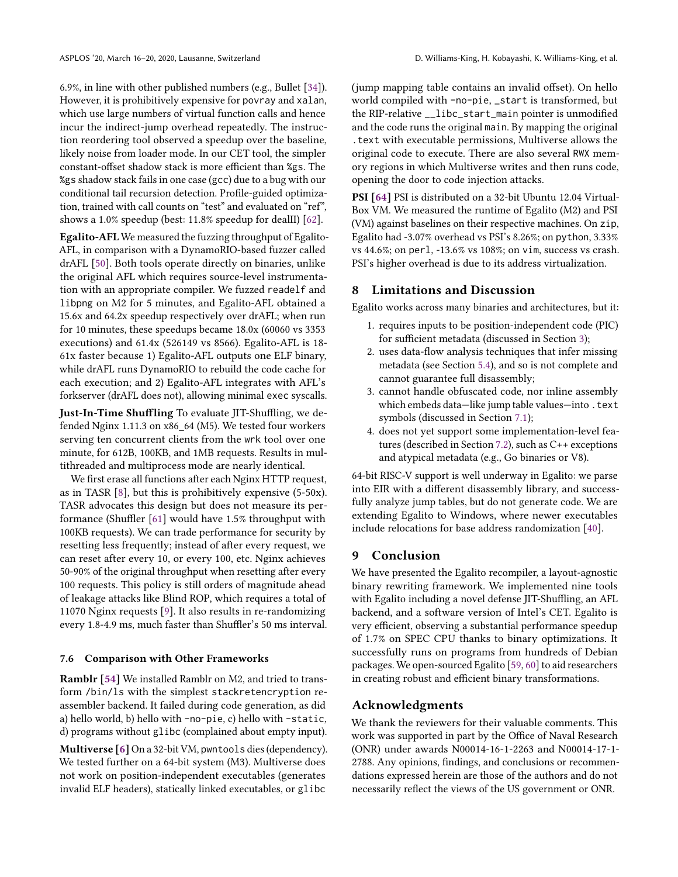6.9%, in line with other published numbers (e.g., Bullet [\[34\]](#page-12-43)). However, it is prohibitively expensive for povray and xalan, which use large numbers of virtual function calls and hence incur the indirect-jump overhead repeatedly. The instruction reordering tool observed a speedup over the baseline, likely noise from loader mode. In our CET tool, the simpler constant-offset shadow stack is more efficient than %gs. The %gs shadow stack fails in one case (gcc) due to a bug with our conditional tail recursion detection. Profile-guided optimization, trained with call counts on "test" and evaluated on "ref", shows a 1.0% speedup (best: 11.8% speedup for dealII) [\[62\]](#page-13-18).

Egalito-AFL We measured the fuzzing throughput of Egalito-AFL, in comparison with a DynamoRIO-based fuzzer called drAFL [\[50\]](#page-13-17). Both tools operate directly on binaries, unlike the original AFL which requires source-level instrumentation with an appropriate compiler. We fuzzed readelf and libpng on M2 for 5 minutes, and Egalito-AFL obtained a 15.6x and 64.2x speedup respectively over drAFL; when run for 10 minutes, these speedups became 18.0x (60060 vs 3353 executions) and 61.4x (526149 vs 8566). Egalito-AFL is 18- 61x faster because 1) Egalito-AFL outputs one ELF binary, while drAFL runs DynamoRIO to rebuild the code cache for each execution; and 2) Egalito-AFL integrates with AFL's forkserver (drAFL does not), allowing minimal exec syscalls.

Just-In-Time Shuffling To evaluate JIT-Shuffling, we defended Nginx 1.11.3 on x86\_64 (M5). We tested four workers serving ten concurrent clients from the wrk tool over one minute, for 612B, 100KB, and 1MB requests. Results in multithreaded and multiprocess mode are nearly identical.

We first erase all functions after each Nginx HTTP request, as in TASR [\[8\]](#page-12-25), but this is prohibitively expensive (5-50x). TASR advocates this design but does not measure its performance (Shuffler [\[61\]](#page-13-1) would have 1.5% throughput with 100KB requests). We can trade performance for security by resetting less frequently; instead of after every request, we can reset after every 10, or every 100, etc. Nginx achieves 50-90% of the original throughput when resetting after every 100 requests. This policy is still orders of magnitude ahead of leakage attacks like Blind ROP, which requires a total of 11070 Nginx requests [\[9\]](#page-12-44). It also results in re-randomizing every 1.8-4.9 ms, much faster than Shuffler's 50 ms interval.

## 7.6 Comparison with Other Frameworks

Ramblr [\[54\]](#page-13-11) We installed Ramblr on M2, and tried to transform /bin/ls with the simplest stackretencryption reassembler backend. It failed during code generation, as did a) hello world, b) hello with -no-pie, c) hello with -static, d) programs without glibc (complained about empty input).

Multiverse [\[6\]](#page-12-19) On a 32-bit VM, pwntools dies (dependency). We tested further on a 64-bit system (M3). Multiverse does not work on position-independent executables (generates invalid ELF headers), statically linked executables, or glibc

(jump mapping table contains an invalid offset). On hello world compiled with -no-pie, \_start is transformed, but the RIP-relative \_\_libc\_start\_main pointer is unmodified and the code runs the original main. By mapping the original .text with executable permissions, Multiverse allows the original code to execute. There are also several RWX memory regions in which Multiverse writes and then runs code, opening the door to code injection attacks.

PSI [\[64\]](#page-13-5) PSI is distributed on a 32-bit Ubuntu 12.04 Virtual-Box VM. We measured the runtime of Egalito (M2) and PSI (VM) against baselines on their respective machines. On zip, Egalito had -3.07% overhead vs PSI's 8.26%; on python, 3.33% vs 44.6%; on perl, -13.6% vs 108%; on vim, success vs crash. PSI's higher overhead is due to its address virtualization.

## <span id="page-11-0"></span>8 Limitations and Discussion

Egalito works across many binaries and architectures, but it:

- 1. requires inputs to be position-independent code (PIC) for sufficient metadata (discussed in Section [3\)](#page-3-1);
- 2. uses data-flow analysis techniques that infer missing metadata (see Section [5.4\)](#page-6-1), and so is not complete and cannot guarantee full disassembly;
- 3. cannot handle obfuscated code, nor inline assembly which embeds data-like jump table values-into . text symbols (discussed in Section [7.1\)](#page-8-1);
- 4. does not yet support some implementation-level features (described in Section [7.2\)](#page-9-0), such as C++ exceptions and atypical metadata (e.g., Go binaries or V8).

64-bit RISC-V support is well underway in Egalito: we parse into EIR with a different disassembly library, and successfully analyze jump tables, but do not generate code. We are extending Egalito to Windows, where newer executables include relocations for base address randomization [\[40\]](#page-12-45).

# 9 Conclusion

We have presented the Egalito recompiler, a layout-agnostic binary rewriting framework. We implemented nine tools with Egalito including a novel defense JIT-Shuffling, an AFL backend, and a software version of Intel's CET. Egalito is very efficient, observing a substantial performance speedup of 1.7% on SPEC CPU thanks to binary optimizations. It successfully runs on programs from hundreds of Debian packages. We open-sourced Egalito [\[59,](#page-13-2) [60\]](#page-13-3) to aid researchers in creating robust and efficient binary transformations.

# Acknowledgments

We thank the reviewers for their valuable comments. This work was supported in part by the Office of Naval Research (ONR) under awards N00014-16-1-2263 and N00014-17-1- 2788. Any opinions, findings, and conclusions or recommendations expressed herein are those of the authors and do not necessarily reflect the views of the US government or ONR.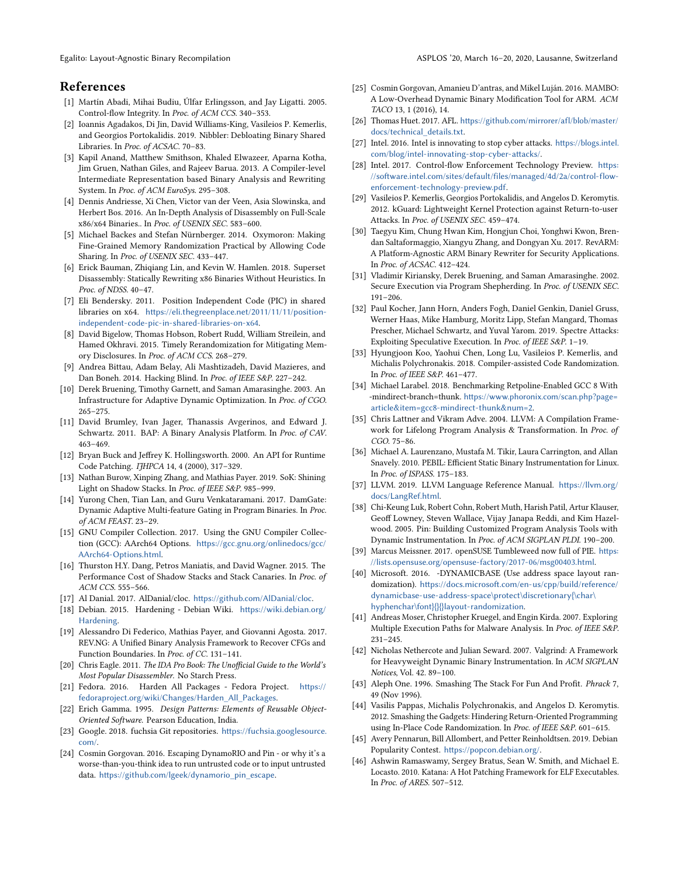# References

- <span id="page-12-28"></span>[1] Martín Abadi, Mihai Budiu, Úlfar Erlingsson, and Jay Ligatti. 2005. Control-flow Integrity. In Proc. of ACM CCS. 340–353.
- <span id="page-12-26"></span>[2] Ioannis Agadakos, Di Jin, David Williams-King, Vasileios P. Kemerlis, and Georgios Portokalidis. 2019. Nibbler: Debloating Binary Shared Libraries. In Proc. of ACSAC. 70–83.
- <span id="page-12-22"></span>[3] Kapil Anand, Matthew Smithson, Khaled Elwazeer, Aparna Kotha, Jim Gruen, Nathan Giles, and Rajeev Barua. 2013. A Compiler-level Intermediate Representation based Binary Analysis and Rewriting System. In Proc. of ACM EuroSys. 295–308.
- <span id="page-12-36"></span>[4] Dennis Andriesse, Xi Chen, Victor van der Veen, Asia Slowinska, and Herbert Bos. 2016. An In-Depth Analysis of Disassembly on Full-Scale x86/x64 Binaries.. In Proc. of USENIX SEC. 583–600.
- <span id="page-12-39"></span>[5] Michael Backes and Stefan Nürnberger. 2014. Oxymoron: Making Fine-Grained Memory Randomization Practical by Allowing Code Sharing. In Proc. of USENIX SEC. 433-447.
- <span id="page-12-19"></span>[6] Erick Bauman, Zhiqiang Lin, and Kevin W. Hamlen. 2018. Superset Disassembly: Statically Rewriting x86 Binaries Without Heuristics. In Proc. of NDSS. 40–47.
- <span id="page-12-37"></span>[7] Eli Bendersky. 2011. Position Independent Code (PIC) in shared libraries on x64. [https://eli.thegreenplace.net/2011/11/11/position](https://eli.thegreenplace.net/2011/11/11/position-independent-code-pic-in-shared-libraries-on-x64)[independent-code-pic-in-shared-libraries-on-x64](https://eli.thegreenplace.net/2011/11/11/position-independent-code-pic-in-shared-libraries-on-x64).
- <span id="page-12-25"></span>[8] David Bigelow, Thomas Hobson, Robert Rudd, William Streilein, and Hamed Okhravi. 2015. Timely Rerandomization for Mitigating Memory Disclosures. In Proc. of ACM CCS. 268–279.
- <span id="page-12-44"></span>[9] Andrea Bittau, Adam Belay, Ali Mashtizadeh, David Mazieres, and Dan Boneh. 2014. Hacking Blind. In Proc. of IEEE S&P. 227–242.
- <span id="page-12-0"></span>[10] Derek Bruening, Timothy Garnett, and Saman Amarasinghe. 2003. An Infrastructure for Adaptive Dynamic Optimization. In Proc. of CGO. 265–275.
- <span id="page-12-20"></span>[11] David Brumley, Ivan Jager, Thanassis Avgerinos, and Edward J. Schwartz. 2011. BAP: A Binary Analysis Platform. In Proc. of CAV. 463–469.
- <span id="page-12-15"></span>[12] Bryan Buck and Jeffrey K. Hollingsworth. 2000. An API for Runtime Code Patching. IJHPCA 14, 4 (2000), 317–329.
- <span id="page-12-31"></span>[13] Nathan Burow, Xinping Zhang, and Mathias Payer. 2019. SoK: Shining Light on Shadow Stacks. In Proc. of IEEE S&P. 985–999.
- <span id="page-12-27"></span>[14] Yurong Chen, Tian Lan, and Guru Venkataramani. 2017. DamGate: Dynamic Adaptive Multi-feature Gating in Program Binaries. In Proc. of ACM FEAST. 23–29.
- <span id="page-12-35"></span>[15] GNU Compiler Collection. 2017. Using the GNU Compiler Collection (GCC): AArch64 Options. [https://gcc.gnu.org/onlinedocs/gcc/](https://gcc.gnu.org/onlinedocs/gcc/AArch64-Options.html) [AArch64-Options.html](https://gcc.gnu.org/onlinedocs/gcc/AArch64-Options.html).
- <span id="page-12-32"></span>[16] Thurston H.Y. Dang, Petros Maniatis, and David Wagner. 2015. The Performance Cost of Shadow Stacks and Stack Canaries. In Proc. of ACM CCS. 555–566.
- <span id="page-12-42"></span>[17] Al Danial. 2017. AlDanial/cloc. <https://github.com/AlDanial/cloc>.
- <span id="page-12-4"></span>[18] Debian. 2015. Hardening - Debian Wiki. [https://wiki.debian.org/](https://wiki.debian.org/Hardening) [Hardening](https://wiki.debian.org/Hardening).
- <span id="page-12-21"></span>[19] Alessandro Di Federico, Mathias Payer, and Giovanni Agosta. 2017. REV.NG: A Unified Binary Analysis Framework to Recover CFGs and Function Boundaries. In Proc. of CC. 131–141.
- <span id="page-12-2"></span>[20] Chris Eagle. 2011. The IDA Pro Book: The Unofficial Guide to the World's Most Popular Disassembler. No Starch Press.
- <span id="page-12-5"></span>[21] Fedora. 2016. Harden All Packages - Fedora Project. [https://](https://fedoraproject.org/wiki/Changes/Harden_All_Packages) [fedoraproject.org/wiki/Changes/Harden\\_All\\_Packages](https://fedoraproject.org/wiki/Changes/Harden_All_Packages).
- <span id="page-12-33"></span>[22] Erich Gamma. 1995. Design Patterns: Elements of Reusable Object-Oriented Software. Pearson Education, India.
- <span id="page-12-41"></span>[23] Google. 2018. fuchsia Git repositories. [https://fuchsia.googlesource.](https://fuchsia.googlesource.com/) [com/](https://fuchsia.googlesource.com/).
- <span id="page-12-18"></span>[24] Cosmin Gorgovan. 2016. Escaping DynamoRIO and Pin - or why it's a worse-than-you-think idea to run untrusted code or to input untrusted data. [https://github.com/lgeek/dynamorio\\_pin\\_escape](https://github.com/lgeek/dynamorio_pin_escape).
- <span id="page-12-17"></span>[25] Cosmin Gorgovan, Amanieu D'antras, and Mikel Luján. 2016. MAMBO: A Low-Overhead Dynamic Binary Modification Tool for ARM. ACM TACO 13, 1 (2016), 14.
- <span id="page-12-38"></span>[26] Thomas Huet. 2017. AFL. [https://github.com/mirrorer/afl/blob/master/](https://github.com/mirrorer/afl/blob/master/docs/technical_details.txt) [docs/technical\\_details.txt](https://github.com/mirrorer/afl/blob/master/docs/technical_details.txt).
- <span id="page-12-30"></span>[27] Intel. 2016. Intel is innovating to stop cyber attacks. [https://blogs.intel.](https://blogs.intel.com/blog/intel-innovating-stop-cyber-attacks/) [com/blog/intel-innovating-stop-cyber-attacks/](https://blogs.intel.com/blog/intel-innovating-stop-cyber-attacks/).
- <span id="page-12-12"></span>[28] Intel. 2017. Control-flow Enforcement Technology Preview. [https:](https://software.intel.com/sites/default/files/managed/4d/2a/control-flow-enforcement-technology-preview.pdf) [//software.intel.com/sites/default/files/managed/4d/2a/control-flow](https://software.intel.com/sites/default/files/managed/4d/2a/control-flow-enforcement-technology-preview.pdf)[enforcement-technology-preview.pdf](https://software.intel.com/sites/default/files/managed/4d/2a/control-flow-enforcement-technology-preview.pdf).
- <span id="page-12-9"></span>[29] Vasileios P. Kemerlis, Georgios Portokalidis, and Angelos D. Keromytis. 2012. kGuard: Lightweight Kernel Protection against Return-to-user Attacks. In Proc. of USENIX SEC. 459–474.
- <span id="page-12-14"></span>[30] Taegyu Kim, Chung Hwan Kim, Hongjun Choi, Yonghwi Kwon, Brendan Saltaformaggio, Xiangyu Zhang, and Dongyan Xu. 2017. RevARM: A Platform-Agnostic ARM Binary Rewriter for Security Applications. In Proc. of ACSAC. 412–424.
- <span id="page-12-29"></span>[31] Vladimir Kiriansky, Derek Bruening, and Saman Amarasinghe. 2002. Secure Execution via Program Shepherding. In Proc. of USENIX SEC. 191–206.
- <span id="page-12-10"></span>[32] Paul Kocher, Jann Horn, Anders Fogh, Daniel Genkin, Daniel Gruss, Werner Haas, Mike Hamburg, Moritz Lipp, Stefan Mangard, Thomas Prescher, Michael Schwartz, and Yuval Yarom. 2019. Spectre Attacks: Exploiting Speculative Execution. In Proc. of IEEE S&P. 1–19.
- <span id="page-12-11"></span>[33] Hyungjoon Koo, Yaohui Chen, Long Lu, Vasileios P. Kemerlis, and Michalis Polychronakis. 2018. Compiler-assisted Code Randomization. In Proc. of IEEE S&P. 461–477.
- <span id="page-12-43"></span>[34] Michael Larabel. 2018. Benchmarking Retpoline-Enabled GCC 8 With -mindirect-branch=thunk. [https://www.phoronix.com/scan.php?page=](https://www.phoronix.com/scan.php?page=article&item=gcc8-mindirect-thunk&num=2) [article&item=gcc8-mindirect-thunk&num=2](https://www.phoronix.com/scan.php?page=article&item=gcc8-mindirect-thunk&num=2).
- <span id="page-12-8"></span>[35] Chris Lattner and Vikram Adve. 2004. LLVM: A Compilation Framework for Lifelong Program Analysis & Transformation. In Proc. of CGO. 75–86.
- <span id="page-12-13"></span>[36] Michael A. Laurenzano, Mustafa M. Tikir, Laura Carrington, and Allan Snavely. 2010. PEBIL: Efficient Static Binary Instrumentation for Linux. In Proc. of ISPASS. 175–183.
- <span id="page-12-7"></span>[37] LLVM. 2019. LLVM Language Reference Manual. [https://llvm.org/](https://llvm.org/docs/LangRef.html) [docs/LangRef.html](https://llvm.org/docs/LangRef.html).
- <span id="page-12-1"></span>[38] Chi-Keung Luk, Robert Cohn, Robert Muth, Harish Patil, Artur Klauser, Geoff Lowney, Steven Wallace, Vijay Janapa Reddi, and Kim Hazelwood. 2005. Pin: Building Customized Program Analysis Tools with Dynamic Instrumentation. In Proc. of ACM SIGPLAN PLDI. 190–200.
- <span id="page-12-6"></span>[39] Marcus Meissner. 2017. openSUSE Tumbleweed now full of PIE. [https:](https://lists.opensuse.org/opensuse-factory/2017-06/msg00403.html) [//lists.opensuse.org/opensuse-factory/2017-06/msg00403.html](https://lists.opensuse.org/opensuse-factory/2017-06/msg00403.html).
- <span id="page-12-45"></span>[40] Microsoft. 2016. -DYNAMICBASE (Use address space layout randomization). [https://docs.microsoft.com/en-us/cpp/build/reference/](https://docs.microsoft.com/en-us/cpp/build/reference/dynamicbase-use-address-space\protect \discretionary {\char \hyphenchar \font }{}{}layout-randomization) [dynamicbase-use-address-space\protect\discretionary{\char\](https://docs.microsoft.com/en-us/cpp/build/reference/dynamicbase-use-address-space\protect \discretionary {\char \hyphenchar \font }{}{}layout-randomization) [hyphenchar\font}{}{}layout-randomization](https://docs.microsoft.com/en-us/cpp/build/reference/dynamicbase-use-address-space\protect \discretionary {\char \hyphenchar \font }{}{}layout-randomization).
- <span id="page-12-3"></span>[41] Andreas Moser, Christopher Kruegel, and Engin Kirda. 2007. Exploring Multiple Execution Paths for Malware Analysis. In Proc. of IEEE S&P. 231–245.
- <span id="page-12-16"></span>[42] Nicholas Nethercote and Julian Seward. 2007. Valgrind: A Framework for Heavyweight Dynamic Binary Instrumentation. In ACM SIGPLAN Notices, Vol. 42. 89–100.
- <span id="page-12-23"></span>[43] Aleph One. 1996. Smashing The Stack For Fun And Profit. Phrack 7, 49 (Nov 1996).
- <span id="page-12-24"></span>[44] Vasilis Pappas, Michalis Polychronakis, and Angelos D. Keromytis. 2012. Smashing the Gadgets: Hindering Return-Oriented Programming using In-Place Code Randomization. In Proc. of IEEE S&P. 601–615.
- <span id="page-12-40"></span>[45] Avery Pennarun, Bill Allombert, and Petter Reinholdtsen. 2019. Debian Popularity Contest. <https://popcon.debian.org/>.
- <span id="page-12-34"></span>[46] Ashwin Ramaswamy, Sergey Bratus, Sean W. Smith, and Michael E. Locasto. 2010. Katana: A Hot Patching Framework for ELF Executables. In Proc. of ARES. 507–512.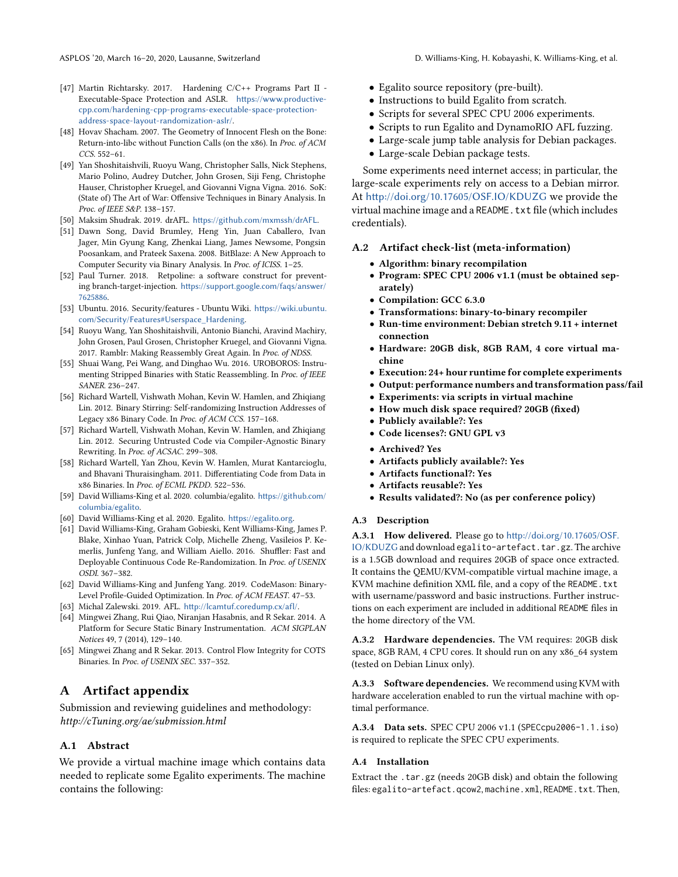- <span id="page-13-13"></span>[47] Martin Richtarsky. 2017. Hardening C/C++ Programs Part II - Executable-Space Protection and ASLR. [https://www.productive](https://www.productive-cpp.com/hardening-cpp-programs-executable-space-protection-address-space-layout-randomization-aslr/)[cpp.com/hardening-cpp-programs-executable-space-protection](https://www.productive-cpp.com/hardening-cpp-programs-executable-space-protection-address-space-layout-randomization-aslr/)[address-space-layout-randomization-aslr/](https://www.productive-cpp.com/hardening-cpp-programs-executable-space-protection-address-space-layout-randomization-aslr/).
- <span id="page-13-12"></span>[48] Hovav Shacham. 2007. The Geometry of Innocent Flesh on the Bone: Return-into-libc without Function Calls (on the x86). In Proc. of ACM CCS. 552–61.
- <span id="page-13-8"></span>[49] Yan Shoshitaishvili, Ruoyu Wang, Christopher Salls, Nick Stephens, Mario Polino, Audrey Dutcher, John Grosen, Siji Feng, Christophe Hauser, Christopher Kruegel, and Giovanni Vigna Vigna. 2016. SoK: (State of) The Art of War: Offensive Techniques in Binary Analysis. In Proc. of IEEE S&P. 138–157.
- <span id="page-13-17"></span>[50] Maksim Shudrak. 2019. drAFL. <https://github.com/mxmssh/drAFL>.
- <span id="page-13-9"></span>[51] Dawn Song, David Brumley, Heng Yin, Juan Caballero, Ivan Jager, Min Gyung Kang, Zhenkai Liang, James Newsome, Pongsin Poosankam, and Prateek Saxena. 2008. BitBlaze: A New Approach to Computer Security via Binary Analysis. In Proc. of ICISS. 1–25.
- <span id="page-13-15"></span>[52] Paul Turner. 2018. Retpoline: a software construct for preventing branch-target-injection. [https://support.google.com/faqs/answer/](https://support.google.com/faqs/answer/7625886) [7625886](https://support.google.com/faqs/answer/7625886).
- <span id="page-13-0"></span>[53] Ubuntu. 2016. Security/features - Ubuntu Wiki. [https://wiki.ubuntu.](https://wiki.ubuntu.com/Security/Features#Userspace_Hardening) [com/Security/Features#Userspace\\_Hardening](https://wiki.ubuntu.com/Security/Features#Userspace_Hardening).
- <span id="page-13-11"></span>[54] Ruoyu Wang, Yan Shoshitaishvili, Antonio Bianchi, Aravind Machiry, John Grosen, Paul Grosen, Christopher Kruegel, and Giovanni Vigna. 2017. Ramblr: Making Reassembly Great Again. In Proc. of NDSS.
- <span id="page-13-10"></span>[55] Shuai Wang, Pei Wang, and Dinghao Wu. 2016. UROBOROS: Instrumenting Stripped Binaries with Static Reassembling. In Proc. of IEEE SANER. 236–247.
- <span id="page-13-6"></span>[56] Richard Wartell, Vishwath Mohan, Kevin W. Hamlen, and Zhiqiang Lin. 2012. Binary Stirring: Self-randomizing Instruction Addresses of Legacy x86 Binary Code. In Proc. of ACM CCS. 157–168.
- <span id="page-13-4"></span>[57] Richard Wartell, Vishwath Mohan, Kevin W. Hamlen, and Zhiqiang Lin. 2012. Securing Untrusted Code via Compiler-Agnostic Binary Rewriting. In Proc. of ACSAC. 299–308.
- <span id="page-13-14"></span>[58] Richard Wartell, Yan Zhou, Kevin W. Hamlen, Murat Kantarcioglu, and Bhavani Thuraisingham. 2011. Differentiating Code from Data in x86 Binaries. In Proc. of ECML PKDD. 522–536.
- <span id="page-13-2"></span>[59] David Williams-King et al. 2020. columbia/egalito. [https://github.com/](https://github.com/columbia/egalito) [columbia/egalito](https://github.com/columbia/egalito).
- <span id="page-13-3"></span>[60] David Williams-King et al. 2020. Egalito. <https://egalito.org>.
- <span id="page-13-1"></span>[61] David Williams-King, Graham Gobieski, Kent Williams-King, James P. Blake, Xinhao Yuan, Patrick Colp, Michelle Zheng, Vasileios P. Kemerlis, Junfeng Yang, and William Aiello. 2016. Shuffler: Fast and Deployable Continuous Code Re-Randomization. In Proc. of USENIX OSDI. 367–382.
- <span id="page-13-18"></span>[62] David Williams-King and Junfeng Yang. 2019. CodeMason: Binary-Level Profile-Guided Optimization. In Proc. of ACM FEAST. 47–53.
- <span id="page-13-16"></span>[63] Michal Zalewski. 2019. AFL. <http://lcamtuf.coredump.cx/afl/>.
- <span id="page-13-5"></span>[64] Mingwei Zhang, Rui Qiao, Niranjan Hasabnis, and R Sekar. 2014. A Platform for Secure Static Binary Instrumentation. ACM SIGPLAN Notices 49, 7 (2014), 129–140.
- <span id="page-13-7"></span>[65] Mingwei Zhang and R Sekar. 2013. Control Flow Integrity for COTS Binaries. In Proc. of USENIX SEC. 337–352.

# A Artifact appendix

Submission and reviewing guidelines and methodology: http://cTuning.org/ae/submission.html

#### A.1 Abstract

We provide a virtual machine image which contains data needed to replicate some Egalito experiments. The machine contains the following:

- Egalito source repository (pre-built).
- Instructions to build Egalito from scratch.
- Scripts for several SPEC CPU 2006 experiments.
- Scripts to run Egalito and DynamoRIO AFL fuzzing.
- Large-scale jump table analysis for Debian packages.
- Large-scale Debian package tests.

Some experiments need internet access; in particular, the large-scale experiments rely on access to a Debian mirror. At <http://doi.org/10.17605/OSF.IO/KDUZG> we provide the virtual machine image and a README.txt file (which includes credentials).

#### A.2 Artifact check-list (meta-information)

- Algorithm: binary recompilation
- Program: SPEC CPU 2006 v1.1 (must be obtained separately)
- Compilation: GCC 6.3.0
- Transformations: binary-to-binary recompiler
- Run-time environment: Debian stretch 9.11 + internet connection
- Hardware: 20GB disk, 8GB RAM, 4 core virtual machine
- Execution: 24+ hour runtime for complete experiments
- Output: performance numbers and transformation pass/fail
- Experiments: via scripts in virtual machine
- How much disk space required? 20GB (fixed)
- Publicly available?: Yes
- Code licenses?: GNU GPL v3
- Archived? Yes
- Artifacts publicly available?: Yes
- Artifacts functional?: Yes
- Artifacts reusable?: Yes
- Results validated?: No (as per conference policy)

#### A.3 Description

A.3.1 How delivered. Please go to [http://doi.org/10.17605/OSF.](http://doi.org/10.17605/OSF.IO/KDUZG) [IO/KDUZG](http://doi.org/10.17605/OSF.IO/KDUZG) and download egalito-artefact.tar.gz. The archive is a 1.5GB download and requires 20GB of space once extracted. It contains the QEMU/KVM-compatible virtual machine image, a KVM machine definition XML file, and a copy of the README.txt with username/password and basic instructions. Further instructions on each experiment are included in additional README files in the home directory of the VM.

A.3.2 Hardware dependencies. The VM requires: 20GB disk space, 8GB RAM, 4 CPU cores. It should run on any x86\_64 system (tested on Debian Linux only).

A.3.3 Software dependencies. We recommend using KVM with hardware acceleration enabled to run the virtual machine with optimal performance.

A.3.4 Data sets. SPEC CPU 2006 v1.1 (SPECcpu2006-1.1.iso) is required to replicate the SPEC CPU experiments.

## A.4 Installation

Extract the .tar.gz (needs 20GB disk) and obtain the following files: egalito-artefact.qcow2, machine.xml, README.txt. Then,